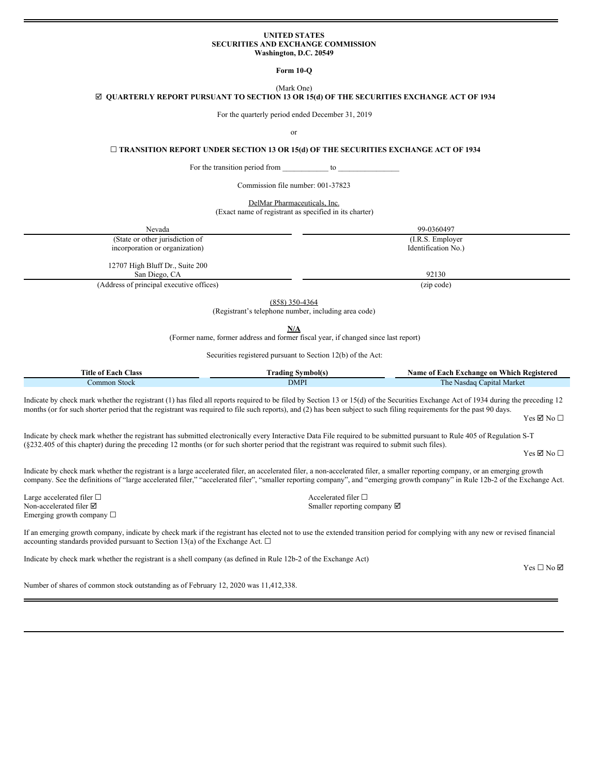#### **UNITED STATES SECURITIES AND EXCHANGE COMMISSION Washington, D.C. 20549**

**Form 10-Q**

(Mark One) þ **QUARTERLY REPORT PURSUANT TO SECTION 13 OR 15(d) OF THE SECURITIES EXCHANGE ACT OF 1934**

For the quarterly period ended December 31, 2019

or

☐ **TRANSITION REPORT UNDER SECTION 13 OR 15(d) OF THE SECURITIES EXCHANGE ACT OF 1934**

For the transition period from \_\_\_\_\_\_\_\_\_\_\_\_\_\_ to

Commission file number: 001-37823

DelMar Pharmaceuticals, Inc.

(Exact name of registrant as specified in its charter)

| Nevada                                           | 99-0360497          |
|--------------------------------------------------|---------------------|
| (State or other jurisdiction of                  | (I.R.S. Employer)   |
| incorporation or organization)                   | Identification No.) |
| 12707 High Bluff Dr., Suite 200<br>San Diego, CA | 92130               |
| (Address of principal executive offices)         | (zip code)          |

(858) 350-4364

(Registrant's telephone number, including area code)

**N/A**

(Former name, former address and former fiscal year, if changed since last report)

Securities registered pursuant to Section 12(b) of the Act:

| Title of Each<br><b>Class</b> | $-$<br>Symbol(s<br>rading | Name of Each Exchange on<br>Which Registered |
|-------------------------------|---------------------------|----------------------------------------------|
| ⊅ommon Stock                  | <b>DMPI</b>               | Capital Market<br>1 he<br>Nasdag             |

Indicate by check mark whether the registrant (1) has filed all reports required to be filed by Section 13 or 15(d) of the Securities Exchange Act of 1934 during the preceding 12 months (or for such shorter period that the registrant was required to file such reports), and (2) has been subject to such filing requirements for the past 90 days.

 $Yes \nI\nNo \square$ 

Indicate by check mark whether the registrant has submitted electronically every Interactive Data File required to be submitted pursuant to Rule 405 of Regulation S-T (§232.405 of this chapter) during the preceding 12 months (or for such shorter period that the registrant was required to submit such files).

 $Yes \nbox{ } No \nbox{ } \square$ 

Indicate by check mark whether the registrant is a large accelerated filer, an accelerated filer, a non-accelerated filer, a smaller reporting company, or an emerging growth company. See the definitions of "large accelerated filer," "accelerated filer", "smaller reporting company", and "emerging growth company" in Rule 12b-2 of the Exchange Act.

Large accelerated filer □<br>
Non-accelerated filer □<br>
Smaller reporting co Emerging growth company  $\Box$ 

Smaller reporting company  $\boxtimes$ 

If an emerging growth company, indicate by check mark if the registrant has elected not to use the extended transition period for complying with any new or revised financial accounting standards provided pursuant to Section 13(a) of the Exchange Act.  $\Box$ 

Indicate by check mark whether the registrant is a shell company (as defined in Rule 12b-2 of the Exchange Act)

Number of shares of common stock outstanding as of February 12, 2020 was 11,412,338.

Yes □ No ☑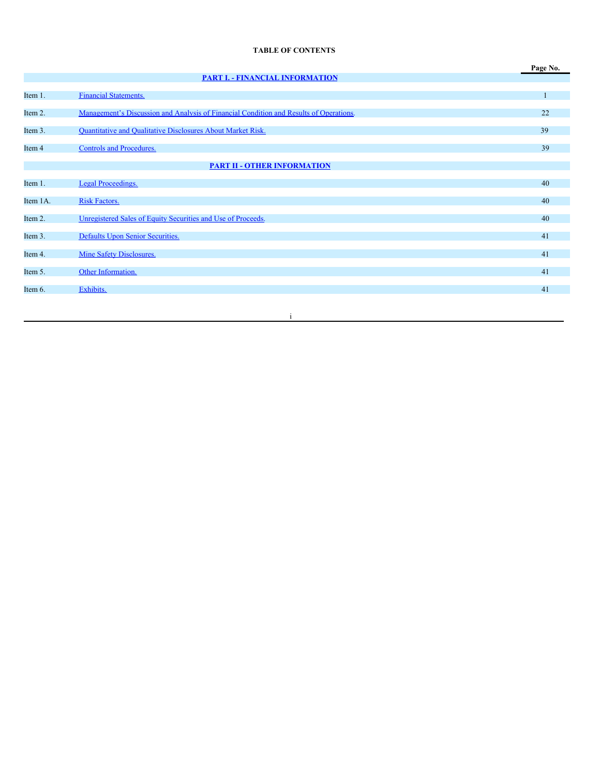# **TABLE OF CONTENTS**

|          |                                                                                        | Page No. |
|----------|----------------------------------------------------------------------------------------|----------|
|          | <b>PART I. - FINANCIAL INFORMATION</b>                                                 |          |
| Item 1.  | <b>Financial Statements.</b>                                                           |          |
| Item 2.  | Management's Discussion and Analysis of Financial Condition and Results of Operations. | 22       |
| Item 3.  | Quantitative and Qualitative Disclosures About Market Risk.                            | 39       |
| Item 4   | Controls and Procedures.                                                               | 39       |
|          | <b>PART II - OTHER INFORMATION</b>                                                     |          |
| Item 1.  | Legal Proceedings.                                                                     | 40       |
| Item 1A. | <b>Risk Factors.</b>                                                                   | 40       |
| Item 2.  | Unregistered Sales of Equity Securities and Use of Proceeds.                           | 40       |
| Item 3.  | Defaults Upon Senior Securities.                                                       | 41       |
| Item 4.  | Mine Safety Disclosures.                                                               | 41       |
| Item 5.  | Other Information.                                                                     | 41       |
| Item 6.  | Exhibits.                                                                              | 41       |
|          |                                                                                        |          |

i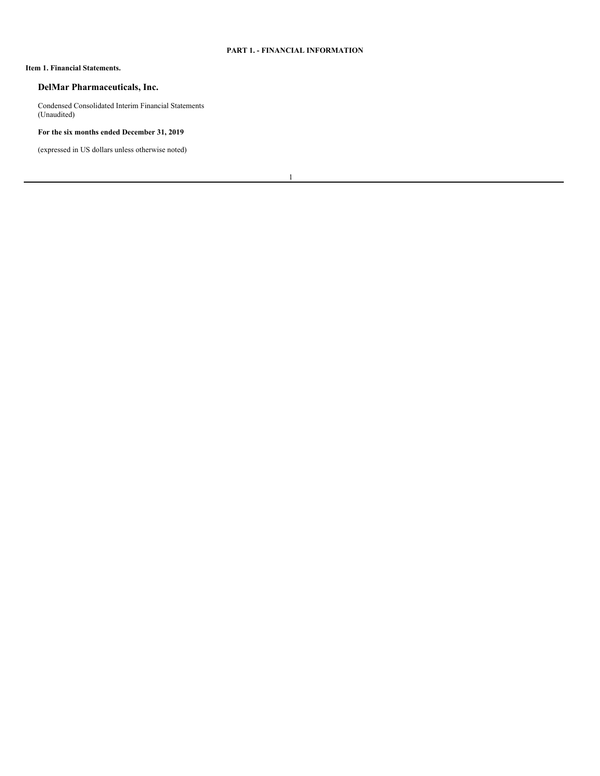# <span id="page-2-0"></span>**PART 1. - FINANCIAL INFORMATION**

## <span id="page-2-1"></span>**Item 1. Financial Statements.**

# **DelMar Pharmaceuticals, Inc.**

Condensed Consolidated Interim Financial Statements (Unaudited)

# **For the six months ended December 31, 2019**

(expressed in US dollars unless otherwise noted)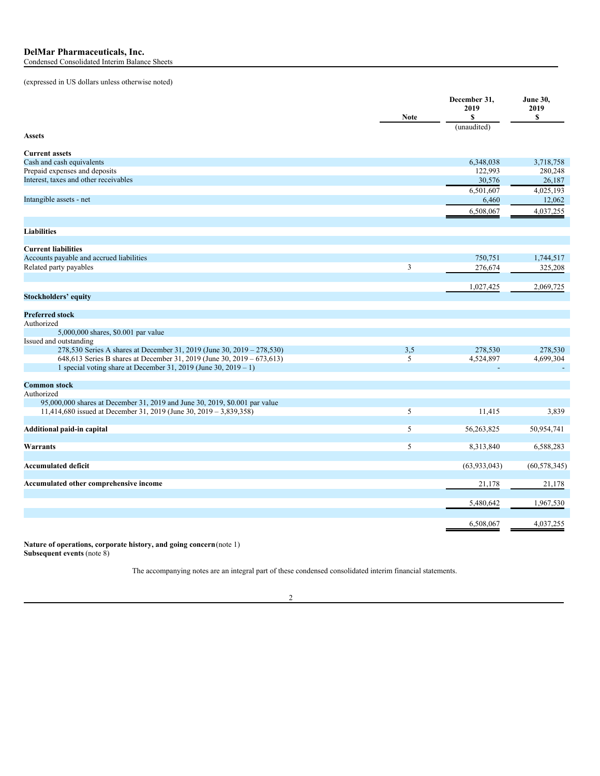|                                                                             | <b>Note</b> | December 31,<br>2019<br>S | <b>June 30,</b><br>2019<br>\$ |
|-----------------------------------------------------------------------------|-------------|---------------------------|-------------------------------|
| <b>Assets</b>                                                               |             | (unaudited)               |                               |
| <b>Current assets</b>                                                       |             |                           |                               |
| Cash and cash equivalents                                                   |             | 6,348,038                 | 3,718,758                     |
| Prepaid expenses and deposits                                               |             | 122,993                   | 280,248                       |
| Interest, taxes and other receivables                                       |             | 30,576                    | 26,187                        |
|                                                                             |             | 6,501,607                 | 4,025,193                     |
| Intangible assets - net                                                     |             | 6,460                     | 12,062                        |
|                                                                             |             | 6,508,067                 | 4,037,255                     |
|                                                                             |             |                           |                               |
| <b>Liabilities</b>                                                          |             |                           |                               |
|                                                                             |             |                           |                               |
| <b>Current liabilities</b>                                                  |             |                           |                               |
| Accounts payable and accrued liabilities                                    |             | 750,751                   | 1,744,517                     |
| Related party payables                                                      | 3           | 276,674                   | 325,208                       |
|                                                                             |             |                           |                               |
|                                                                             |             | 1,027,425                 | 2,069,725                     |
| <b>Stockholders' equity</b>                                                 |             |                           |                               |
|                                                                             |             |                           |                               |
| <b>Preferred stock</b>                                                      |             |                           |                               |
| Authorized                                                                  |             |                           |                               |
| 5,000,000 shares, \$0.001 par value                                         |             |                           |                               |
| Issued and outstanding                                                      |             |                           |                               |
| 278,530 Series A shares at December 31, 2019 (June 30, 2019 – 278,530)      | 3,5         | 278,530                   | 278,530                       |
| 648,613 Series B shares at December 31, 2019 (June 30, 2019 – 673,613)      | 5           | 4,524,897                 | 4,699,304                     |
| 1 special voting share at December 31, 2019 (June 30, $2019 - 1$ )          |             |                           |                               |
| <b>Common stock</b>                                                         |             |                           |                               |
| Authorized                                                                  |             |                           |                               |
| 95,000,000 shares at December 31, 2019 and June 30, 2019, \$0.001 par value |             |                           |                               |
| 11,414,680 issued at December 31, 2019 (June 30, 2019 – 3,839,358)          | 5           | 11,415                    | 3,839                         |
|                                                                             |             |                           |                               |
| Additional paid-in capital                                                  | 5           | 56,263,825                | 50,954,741                    |
|                                                                             |             |                           |                               |
| Warrants                                                                    | 5           | 8,313,840                 | 6,588,283                     |
|                                                                             |             |                           |                               |
| <b>Accumulated deficit</b>                                                  |             | (63, 933, 043)            | (60, 578, 345)                |
|                                                                             |             |                           |                               |
| Accumulated other comprehensive income                                      |             | 21,178                    | 21,178                        |
|                                                                             |             |                           |                               |
|                                                                             |             | 5,480,642                 | 1,967,530                     |
|                                                                             |             |                           |                               |
|                                                                             |             | 6,508,067                 | 4,037,255                     |

**Nature of operations, corporate history, and going concern**(note 1) **Subsequent events** (note 8)

The accompanying notes are an integral part of these condensed consolidated interim financial statements.

2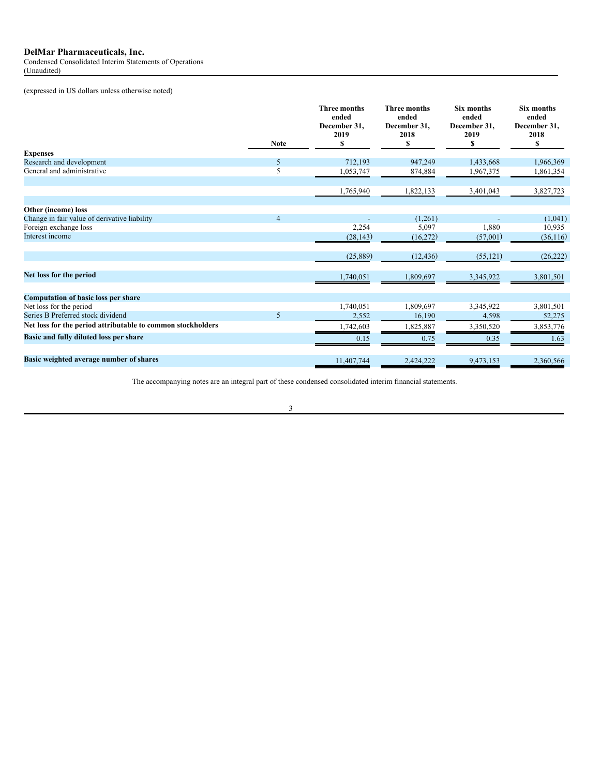Condensed Consolidated Interim Statements of Operations (Unaudited)

(expressed in US dollars unless otherwise noted)

|                                                             |                | <b>Three months</b><br>ended<br>December 31.<br>2019 | <b>Three months</b><br>ended<br>December 31.<br>2018 | <b>Six months</b><br>ended<br>December 31.<br>2019 | <b>Six months</b><br>ended<br>December 31,<br>2018 |
|-------------------------------------------------------------|----------------|------------------------------------------------------|------------------------------------------------------|----------------------------------------------------|----------------------------------------------------|
|                                                             | <b>Note</b>    | \$                                                   | S                                                    | \$                                                 | \$                                                 |
| <b>Expenses</b>                                             | 5              | 712,193                                              |                                                      |                                                    |                                                    |
| Research and development<br>General and administrative      | 5              |                                                      | 947,249<br>874,884                                   | 1,433,668                                          | 1,966,369                                          |
|                                                             |                | 1,053,747                                            |                                                      | 1,967,375                                          | 1,861,354                                          |
|                                                             |                | 1,765,940                                            | 1,822,133                                            | 3,401,043                                          | 3,827,723                                          |
| Other (income) loss                                         |                |                                                      |                                                      |                                                    |                                                    |
| Change in fair value of derivative liability                | $\overline{4}$ |                                                      | (1,261)                                              |                                                    | (1,041)                                            |
| Foreign exchange loss                                       |                | 2,254                                                | 5,097                                                | 1,880                                              | 10,935                                             |
| Interest income                                             |                | (28, 143)                                            | (16,272)                                             | (57,001)                                           | (36,116)                                           |
|                                                             |                | (25, 889)                                            | (12, 436)                                            | (55, 121)                                          | (26, 222)                                          |
| Net loss for the period                                     |                | 1,740,051                                            | 1,809,697                                            | 3,345,922                                          | 3,801,501                                          |
| <b>Computation of basic loss per share</b>                  |                |                                                      |                                                      |                                                    |                                                    |
| Net loss for the period                                     |                | 1,740,051                                            | 1,809,697                                            | 3,345,922                                          | 3,801,501                                          |
| Series B Preferred stock dividend                           | 5              | 2,552                                                | 16,190                                               | 4,598                                              | 52,275                                             |
| Net loss for the period attributable to common stockholders |                | 1,742,603                                            | 1,825,887                                            | 3,350,520                                          | 3,853,776                                          |
| Basic and fully diluted loss per share                      |                | 0.15                                                 | 0.75                                                 | 0.35                                               | 1.63                                               |
|                                                             |                |                                                      |                                                      |                                                    |                                                    |
| Basic weighted average number of shares                     |                | 11,407,744                                           | 2.424.222                                            | 9,473,153                                          | 2.360.566                                          |

The accompanying notes are an integral part of these condensed consolidated interim financial statements.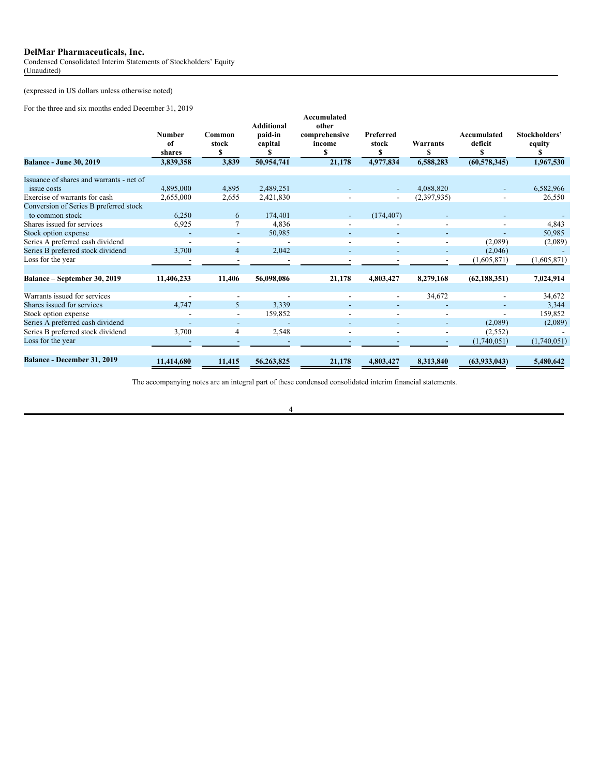Condensed Consolidated Interim Statements of Stockholders' Equity (Unaudited)

(expressed in US dollars unless otherwise noted)

For the three and six months ended December 31, 2019

|                                                                                          | <b>Number</b><br>of<br>shares | Common<br>stock<br>S                       | <b>Additional</b><br>paid-in<br>capital | Accumulated<br>other<br>comprehensive<br>income<br>\$ | Preferred<br>stock<br>\$ | Warrants<br>S            | Accumulated<br>deficit<br>\$ | Stockholders'<br>equity<br>S |
|------------------------------------------------------------------------------------------|-------------------------------|--------------------------------------------|-----------------------------------------|-------------------------------------------------------|--------------------------|--------------------------|------------------------------|------------------------------|
| <b>Balance - June 30, 2019</b>                                                           | 3,839,358                     | 3,839                                      | 50,954,741                              | 21,178                                                | 4,977,834                | 6,588,283                | (60, 578, 345)               | 1,967,530                    |
| Issuance of shares and warrants - net of<br>issue costs<br>Exercise of warrants for cash | 4,895,000<br>2,655,000        | 4,895<br>2,655                             | 2,489,251<br>2,421,830                  |                                                       | $\overline{\phantom{a}}$ | 4.088.820<br>(2,397,935) |                              | 6,582,966<br>26,550          |
| Conversion of Series B preferred stock<br>to common stock                                | 6,250                         | 6                                          | 174,401                                 |                                                       | (174, 407)               |                          |                              |                              |
| Shares issued for services<br>Stock option expense                                       | 6.925                         | $\overline{\phantom{a}}$                   | 4,836<br>50,985                         |                                                       |                          |                          |                              | 4,843<br>50,985              |
| Series A preferred cash dividend<br>Series B preferred stock dividend                    | 3,700                         | $\overline{\phantom{a}}$<br>$\overline{4}$ | $\overline{\phantom{a}}$<br>2,042       |                                                       |                          |                          | (2,089)<br>(2,046)           | (2,089)                      |
| Loss for the year                                                                        |                               |                                            |                                         |                                                       |                          |                          | (1,605,871)                  | (1,605,871)                  |
| Balance - September 30, 2019                                                             | 11,406,233                    | 11,406                                     | 56,098,086                              | 21,178                                                | 4,803,427                | 8,279,168                | (62, 188, 351)               | 7,024,914                    |
| Warrants issued for services                                                             |                               | $\blacksquare$                             |                                         |                                                       | $\overline{\phantom{a}}$ | 34,672                   |                              | 34,672                       |
| Shares issued for services<br>Stock option expense                                       | 4.747                         | 5<br>$\overline{\phantom{a}}$              | 3,339<br>159,852                        |                                                       |                          |                          |                              | 3,344<br>159,852             |
| Series A preferred cash dividend                                                         |                               |                                            | $\overline{\phantom{a}}$                |                                                       |                          |                          | (2,089)                      | (2,089)                      |
| Series B preferred stock dividend<br>Loss for the year                                   | 3,700                         | 4                                          | 2,548                                   |                                                       |                          |                          | (2,552)<br>(1,740,051)       | (1,740,051)                  |
| Balance - December 31, 2019                                                              | 11.414.680                    | 11,415                                     | 56,263,825                              | 21,178                                                | 4,803,427                | 8,313,840                | (63,933,043)                 | 5,480,642                    |

The accompanying notes are an integral part of these condensed consolidated interim financial statements.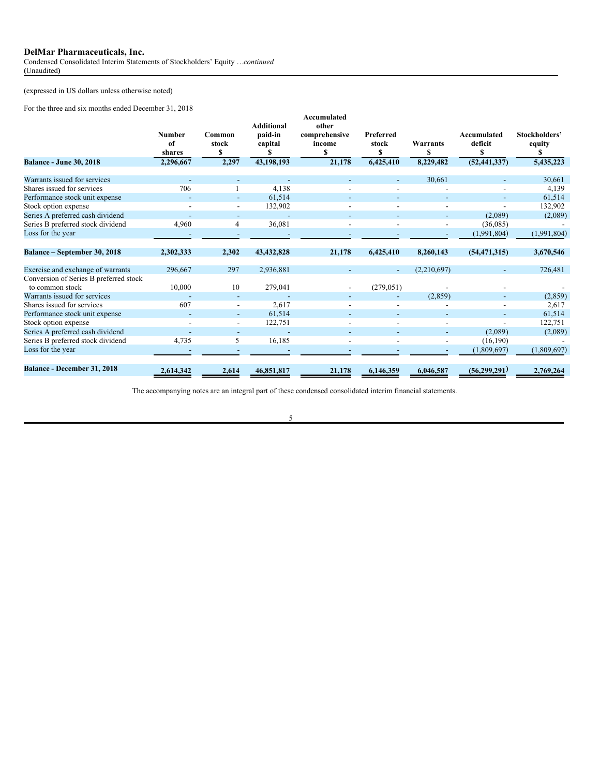Condensed Consolidated Interim Statements of Stockholders' Equity …*continued* **(**Unaudited**)**

(expressed in US dollars unless otherwise noted)

For the three and six months ended December 31, 2018

| and $\frac{31}{210}$ inviting ended December 21, 2010     |                                            |                                |                                                       |                                                                |                                      |                            |                                          |                                      |
|-----------------------------------------------------------|--------------------------------------------|--------------------------------|-------------------------------------------------------|----------------------------------------------------------------|--------------------------------------|----------------------------|------------------------------------------|--------------------------------------|
| <b>Balance - June 30, 2018</b>                            | <b>Number</b><br>of<br>shares<br>2.296.667 | Common<br>stock<br>\$<br>2,297 | <b>Additional</b><br>paid-in<br>capital<br>43.198.193 | Accumulated<br>other<br>comprehensive<br>income<br>S<br>21,178 | Preferred<br>stock<br>S<br>6.425.410 | Warrants<br>S<br>8,229,482 | Accumulated<br>deficit<br>(52, 441, 337) | Stockholders'<br>equity<br>5,435,223 |
|                                                           |                                            |                                |                                                       |                                                                |                                      |                            |                                          |                                      |
| Warrants issued for services                              |                                            |                                |                                                       |                                                                |                                      | 30,661                     |                                          | 30,661                               |
| Shares issued for services                                | 706                                        |                                | 4,138                                                 |                                                                |                                      |                            |                                          | 4,139                                |
| Performance stock unit expense                            |                                            | $\overline{\phantom{0}}$       | 61,514                                                |                                                                |                                      |                            |                                          | 61,514                               |
| Stock option expense                                      |                                            |                                | 132,902                                               |                                                                |                                      |                            |                                          | 132,902                              |
| Series A preferred cash dividend                          |                                            |                                |                                                       |                                                                |                                      |                            | (2,089)                                  | (2,089)                              |
| Series B preferred stock dividend                         | 4,960                                      | 4                              | 36,081                                                |                                                                |                                      |                            | (36,085)                                 |                                      |
| Loss for the year                                         |                                            |                                |                                                       |                                                                |                                      |                            | (1,991,804)                              | (1,991,804)                          |
| Balance – September 30, 2018                              | 2,302,333                                  | 2,302                          | 43,432,828                                            | 21,178                                                         | 6,425,410                            | 8,260,143                  | (54, 471, 315)                           | 3,670,546                            |
| Exercise and exchange of warrants                         | 296,667                                    | 297                            | 2,936,881                                             |                                                                | $\overline{\phantom{a}}$             | (2,210,697)                |                                          | 726,481                              |
| Conversion of Series B preferred stock<br>to common stock | 10,000                                     | 10                             | 279,041                                               |                                                                | (279, 051)                           |                            |                                          |                                      |
| Warrants issued for services                              |                                            |                                |                                                       |                                                                |                                      | (2,859)                    |                                          | (2,859)                              |
| Shares issued for services                                | 607                                        | $\overline{\phantom{a}}$       | 2,617                                                 |                                                                |                                      |                            |                                          | 2,617                                |
| Performance stock unit expense                            |                                            | $\overline{\phantom{a}}$       | 61,514                                                |                                                                |                                      |                            |                                          | 61,514                               |
| Stock option expense                                      |                                            | $\overline{\phantom{a}}$       | 122,751                                               |                                                                |                                      |                            |                                          | 122,751                              |
| Series A preferred cash dividend                          |                                            |                                |                                                       |                                                                |                                      |                            | (2,089)                                  | (2,089)                              |
| Series B preferred stock dividend                         | 4,735                                      | 5                              | 16,185                                                |                                                                |                                      |                            | (16, 190)                                |                                      |
| Loss for the year                                         |                                            |                                |                                                       |                                                                |                                      |                            | (1,809,697)                              | (1,809,697)                          |
| Balance - December 31, 2018                               | 2,614,342                                  | 2,614                          | 46,851,817                                            | 21,178                                                         | 6,146,359                            | 6,046,587                  | (56, 299, 291)                           | 2,769,264                            |

The accompanying notes are an integral part of these condensed consolidated interim financial statements.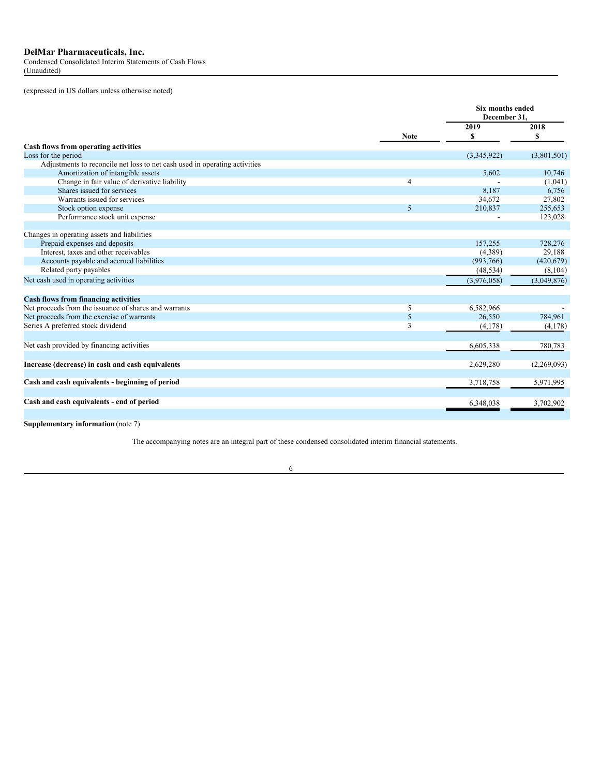Condensed Consolidated Interim Statements of Cash Flows (Unaudited)

(expressed in US dollars unless otherwise noted)

|                                                                            |                | <b>Six months ended</b><br>December 31. |             |
|----------------------------------------------------------------------------|----------------|-----------------------------------------|-------------|
|                                                                            |                | 2019                                    | 2018        |
|                                                                            | <b>Note</b>    | S                                       | \$          |
| Cash flows from operating activities                                       |                |                                         |             |
| Loss for the period                                                        |                | (3,345,922)                             | (3,801,501) |
| Adjustments to reconcile net loss to net cash used in operating activities |                |                                         |             |
| Amortization of intangible assets                                          |                | 5,602                                   | 10,746      |
| Change in fair value of derivative liability                               | $\overline{4}$ |                                         | (1,041)     |
| Shares issued for services                                                 |                | 8.187                                   | 6,756       |
| Warrants issued for services                                               |                | 34,672                                  | 27,802      |
| Stock option expense                                                       | 5              | 210,837                                 | 255,653     |
| Performance stock unit expense                                             |                |                                         | 123,028     |
| Changes in operating assets and liabilities                                |                |                                         |             |
| Prepaid expenses and deposits                                              |                | 157.255                                 | 728,276     |
| Interest, taxes and other receivables                                      |                | (4,389)                                 | 29,188      |
| Accounts payable and accrued liabilities                                   |                | (993,766)                               | (420,679)   |
| Related party payables                                                     |                | (48, 534)                               | (8,104)     |
| Net cash used in operating activities                                      |                | (3,976,058)                             | (3,049,876) |
| <b>Cash flows from financing activities</b>                                |                |                                         |             |
| Net proceeds from the issuance of shares and warrants                      | 5              | 6,582,966                               |             |
| Net proceeds from the exercise of warrants                                 | 5              | 26,550                                  | 784.961     |
| Series A preferred stock dividend                                          | 3              | (4,178)                                 | (4,178)     |
|                                                                            |                |                                         |             |
| Net cash provided by financing activities                                  |                | 6,605,338                               | 780,783     |
| Increase (decrease) in cash and cash equivalents                           |                | 2,629,280                               | (2,269,093) |
| Cash and cash equivalents - beginning of period                            |                | 3,718,758                               | 5,971,995   |
| Cash and cash equivalents - end of period                                  |                | 6,348,038                               | 3,702,902   |
|                                                                            |                |                                         |             |

**Supplementary information** (note 7)

The accompanying notes are an integral part of these condensed consolidated interim financial statements.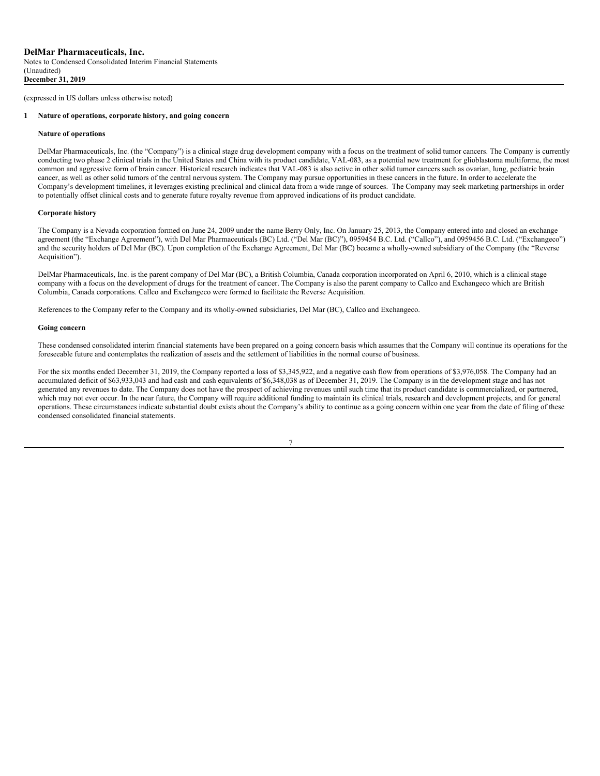#### **1 Nature of operations, corporate history, and going concern**

#### **Nature of operations**

DelMar Pharmaceuticals, Inc. (the "Company") is a clinical stage drug development company with a focus on the treatment of solid tumor cancers. The Company is currently conducting two phase 2 clinical trials in the United States and China with its product candidate, VAL-083, as a potential new treatment for glioblastoma multiforme, the most common and aggressive form of brain cancer. Historical research indicates that VAL-083 is also active in other solid tumor cancers such as ovarian, lung, pediatric brain cancer, as well as other solid tumors of the central nervous system. The Company may pursue opportunities in these cancers in the future. In order to accelerate the Company's development timelines, it leverages existing preclinical and clinical data from a wide range of sources. The Company may seek marketing partnerships in order to potentially offset clinical costs and to generate future royalty revenue from approved indications of its product candidate.

## **Corporate history**

The Company is a Nevada corporation formed on June 24, 2009 under the name Berry Only, Inc. On January 25, 2013, the Company entered into and closed an exchange agreement (the "Exchange Agreement"), with Del Mar Pharmaceuticals (BC) Ltd. ("Del Mar (BC)"), 0959454 B.C. Ltd. ("Callco"), and 0959456 B.C. Ltd. ("Exchangeco") and the security holders of Del Mar (BC). Upon completion of the Exchange Agreement, Del Mar (BC) became a wholly-owned subsidiary of the Company (the "Reverse Acquisition").

DelMar Pharmaceuticals, Inc. is the parent company of Del Mar (BC), a British Columbia, Canada corporation incorporated on April 6, 2010, which is a clinical stage company with a focus on the development of drugs for the treatment of cancer. The Company is also the parent company to Callco and Exchangeco which are British Columbia, Canada corporations. Callco and Exchangeco were formed to facilitate the Reverse Acquisition.

References to the Company refer to the Company and its wholly-owned subsidiaries, Del Mar (BC), Callco and Exchangeco.

#### **Going concern**

These condensed consolidated interim financial statements have been prepared on a going concern basis which assumes that the Company will continue its operations for the foreseeable future and contemplates the realization of assets and the settlement of liabilities in the normal course of business.

For the six months ended December 31, 2019, the Company reported a loss of \$3,345,922, and a negative cash flow from operations of \$3,976,058. The Company had an accumulated deficit of \$63,933,043 and had cash and cash equivalents of \$6,348,038 as of December 31, 2019. The Company is in the development stage and has not generated any revenues to date. The Company does not have the prospect of achieving revenues until such time that its product candidate is commercialized, or partnered, which may not ever occur. In the near future, the Company will require additional funding to maintain its clinical trials, research and development projects, and for general operations. These circumstances indicate substantial doubt exists about the Company's ability to continue as a going concern within one year from the date of filing of these condensed consolidated financial statements.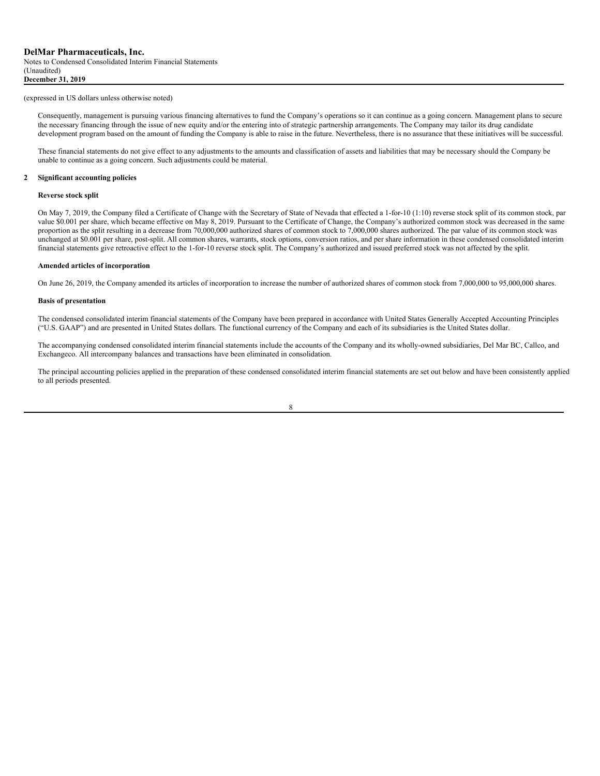(Unaudited)

## (expressed in US dollars unless otherwise noted)

Consequently, management is pursuing various financing alternatives to fund the Company's operations so it can continue as a going concern. Management plans to secure the necessary financing through the issue of new equity and/or the entering into of strategic partnership arrangements. The Company may tailor its drug candidate development program based on the amount of funding the Company is able to raise in the future. Nevertheless, there is no assurance that these initiatives will be successful.

These financial statements do not give effect to any adjustments to the amounts and classification of assets and liabilities that may be necessary should the Company be unable to continue as a going concern. Such adjustments could be material.

#### **2 Significant accounting policies**

#### **Reverse stock split**

On May 7, 2019, the Company filed a Certificate of Change with the Secretary of State of Nevada that effected a 1-for-10 (1:10) reverse stock split of its common stock, par value \$0.001 per share, which became effective on May 8, 2019. Pursuant to the Certificate of Change, the Company's authorized common stock was decreased in the same proportion as the split resulting in a decrease from 70,000,000 authorized shares of common stock to 7,000,000 shares authorized. The par value of its common stock was unchanged at \$0.001 per share, post-split. All common shares, warrants, stock options, conversion ratios, and per share information in these condensed consolidated interim financial statements give retroactive effect to the 1-for-10 reverse stock split. The Company's authorized and issued preferred stock was not affected by the split.

#### **Amended articles of incorporation**

On June 26, 2019, the Company amended its articles of incorporation to increase the number of authorized shares of common stock from 7,000,000 to 95,000,000 shares.

#### **Basis of presentation**

The condensed consolidated interim financial statements of the Company have been prepared in accordance with United States Generally Accepted Accounting Principles ("U.S. GAAP") and are presented in United States dollars. The functional currency of the Company and each of its subsidiaries is the United States dollar.

The accompanying condensed consolidated interim financial statements include the accounts of the Company and its wholly-owned subsidiaries, Del Mar BC, Callco, and Exchangeco. All intercompany balances and transactions have been eliminated in consolidation.

The principal accounting policies applied in the preparation of these condensed consolidated interim financial statements are set out below and have been consistently applied to all periods presented.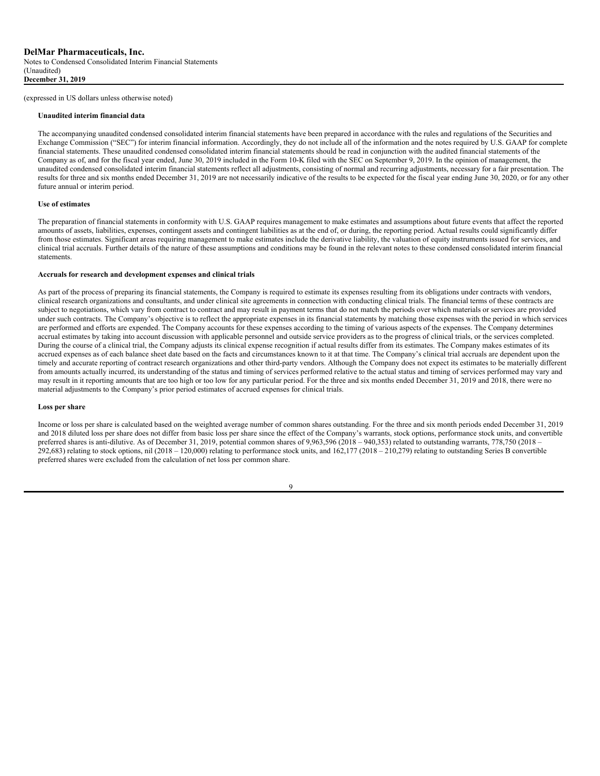#### **Unaudited interim financial data**

The accompanying unaudited condensed consolidated interim financial statements have been prepared in accordance with the rules and regulations of the Securities and Exchange Commission ("SEC") for interim financial information. Accordingly, they do not include all of the information and the notes required by U.S. GAAP for complete financial statements. These unaudited condensed consolidated interim financial statements should be read in conjunction with the audited financial statements of the Company as of, and for the fiscal year ended, June 30, 2019 included in the Form 10-K filed with the SEC on September 9, 2019. In the opinion of management, the unaudited condensed consolidated interim financial statements reflect all adjustments, consisting of normal and recurring adjustments, necessary for a fair presentation. The results for three and six months ended December 31, 2019 are not necessarily indicative of the results to be expected for the fiscal year ending June 30, 2020, or for any other future annual or interim period.

#### **Use of estimates**

The preparation of financial statements in conformity with U.S. GAAP requires management to make estimates and assumptions about future events that affect the reported amounts of assets, liabilities, expenses, contingent assets and contingent liabilities as at the end of, or during, the reporting period. Actual results could significantly differ from those estimates. Significant areas requiring management to make estimates include the derivative liability, the valuation of equity instruments issued for services, and clinical trial accruals. Further details of the nature of these assumptions and conditions may be found in the relevant notes to these condensed consolidated interim financial statements.

#### **Accruals for research and development expenses and clinical trials**

As part of the process of preparing its financial statements, the Company is required to estimate its expenses resulting from its obligations under contracts with vendors, clinical research organizations and consultants, and under clinical site agreements in connection with conducting clinical trials. The financial terms of these contracts are subject to negotiations, which vary from contract to contract and may result in payment terms that do not match the periods over which materials or services are provided under such contracts. The Company's objective is to reflect the appropriate expenses in its financial statements by matching those expenses with the period in which services are performed and efforts are expended. The Company accounts for these expenses according to the timing of various aspects of the expenses. The Company determines accrual estimates by taking into account discussion with applicable personnel and outside service providers as to the progress of clinical trials, or the services completed. During the course of a clinical trial, the Company adjusts its clinical expense recognition if actual results differ from its estimates. The Company makes estimates of its accrued expenses as of each balance sheet date based on the facts and circumstances known to it at that time. The Company's clinical trial accruals are dependent upon the timely and accurate reporting of contract research organizations and other third-party vendors. Although the Company does not expect its estimates to be materially different from amounts actually incurred, its understanding of the status and timing of services performed relative to the actual status and timing of services performed may vary and may result in it reporting amounts that are too high or too low for any particular period. For the three and six months ended December 31, 2019 and 2018, there were no material adjustments to the Company's prior period estimates of accrued expenses for clinical trials.

#### **Loss per share**

Income or loss per share is calculated based on the weighted average number of common shares outstanding. For the three and six month periods ended December 31, 2019 and 2018 diluted loss per share does not differ from basic loss per share since the effect of the Company's warrants, stock options, performance stock units, and convertible preferred shares is anti-dilutive. As of December 31, 2019, potential common shares of 9,963,596 (2018 – 940,353) related to outstanding warrants, 778,750 (2018 - $292,683$ ) relating to stock options, nil (2018 – 120,000) relating to performance stock units, and 162,177 (2018 – 210,279) relating to outstanding Series B convertible preferred shares were excluded from the calculation of net loss per common share.

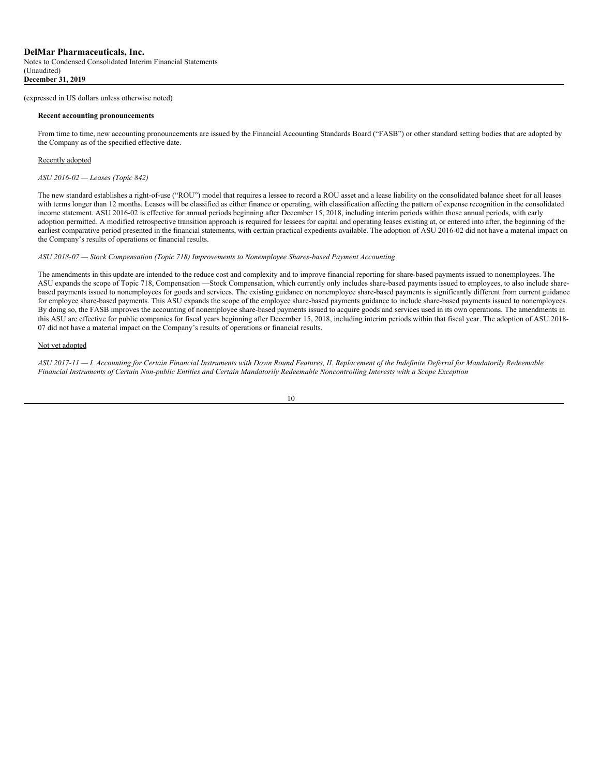#### **Recent accounting pronouncements**

From time to time, new accounting pronouncements are issued by the Financial Accounting Standards Board ("FASB") or other standard setting bodies that are adopted by the Company as of the specified effective date.

## Recently adopted

*ASU 2016-02 — Leases (Topic 842)*

The new standard establishes a right-of-use ("ROU") model that requires a lessee to record a ROU asset and a lease liability on the consolidated balance sheet for all leases with terms longer than 12 months. Leases will be classified as either finance or operating, with classification affecting the pattern of expense recognition in the consolidated income statement. ASU 2016-02 is effective for annual periods beginning after December 15, 2018, including interim periods within those annual periods, with early adoption permitted. A modified retrospective transition approach is required for lessees for capital and operating leases existing at, or entered into after, the beginning of the earliest comparative period presented in the financial statements, with certain practical expedients available. The adoption of ASU 2016-02 did not have a material impact on the Company's results of operations or financial results.

## *ASU 2018-07 — Stock Compensation (Topic 718) Improvements to Nonemployee Shares-based Payment Accounting*

The amendments in this update are intended to the reduce cost and complexity and to improve financial reporting for share-based payments issued to nonemployees. The ASU expands the scope of Topic 718, Compensation —Stock Compensation, which currently only includes share-based payments issued to employees, to also include sharebased payments issued to nonemployees for goods and services. The existing guidance on nonemployee share-based payments is significantly different from current guidance for employee share-based payments. This ASU expands the scope of the employee share-based payments guidance to include share-based payments issued to nonemployees. By doing so, the FASB improves the accounting of nonemployee share-based payments issued to acquire goods and services used in its own operations. The amendments in this ASU are effective for public companies for fiscal years beginning after December 15, 2018, including interim periods within that fiscal year. The adoption of ASU 2018- 07 did not have a material impact on the Company's results of operations or financial results.

## Not yet adopted

ASU 2017-11 - I. Accounting for Certain Financial Instruments with Down Round Features, II. Replacement of the Indefinite Deferral for Mandatorily Redeemable Financial Instruments of Certain Non-public Entities and Certain Mandatorily Redeemable Noncontrolling Interests with a Scope Exception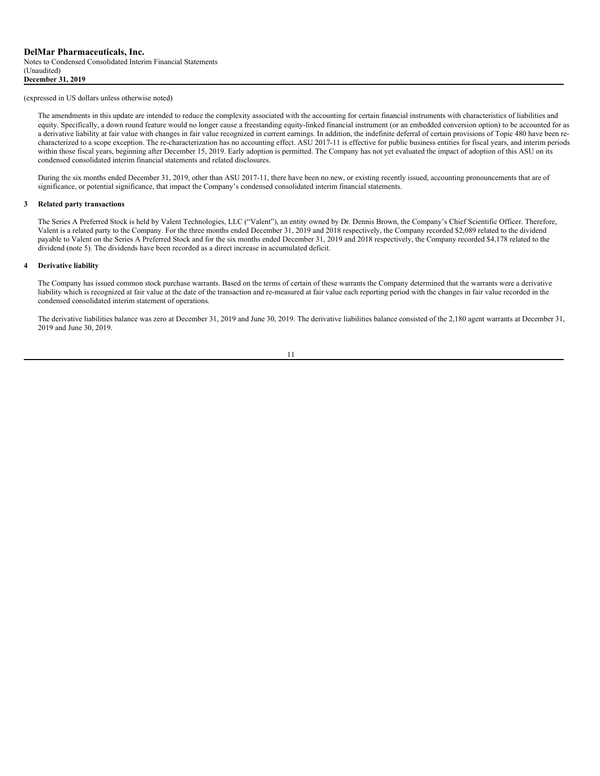The amendments in this update are intended to reduce the complexity associated with the accounting for certain financial instruments with characteristics of liabilities and equity. Specifically, a down round feature would no longer cause a freestanding equity-linked financial instrument (or an embedded conversion option) to be accounted for as a derivative liability at fair value with changes in fair value recognized in current earnings. In addition, the indefinite deferral of certain provisions of Topic 480 have been recharacterized to a scope exception. The re-characterization has no accounting effect. ASU 2017-11 is effective for public business entities for fiscal years, and interim periods within those fiscal years, beginning after December 15, 2019. Early adoption is permitted. The Company has not yet evaluated the impact of adoption of this ASU on its condensed consolidated interim financial statements and related disclosures.

During the six months ended December 31, 2019, other than ASU 2017-11, there have been no new, or existing recently issued, accounting pronouncements that are of significance, or potential significance, that impact the Company's condensed consolidated interim financial statements.

## **3 Related party transactions**

The Series A Preferred Stock is held by Valent Technologies, LLC ("Valent"), an entity owned by Dr. Dennis Brown, the Company's Chief Scientific Officer. Therefore, Valent is a related party to the Company. For the three months ended December 31, 2019 and 2018 respectively, the Company recorded \$2,089 related to the dividend payable to Valent on the Series A Preferred Stock and for the six months ended December 31, 2019 and 2018 respectively, the Company recorded \$4,178 related to the dividend (note 5). The dividends have been recorded as a direct increase in accumulated deficit.

#### **4 Derivative liability**

The Company has issued common stock purchase warrants. Based on the terms of certain of these warrants the Company determined that the warrants were a derivative liability which is recognized at fair value at the date of the transaction and re-measured at fair value each reporting period with the changes in fair value recorded in the condensed consolidated interim statement of operations.

The derivative liabilities balance was zero at December 31, 2019 and June 30, 2019. The derivative liabilities balance consisted of the 2,180 agent warrants at December 31, 2019 and June 30, 2019.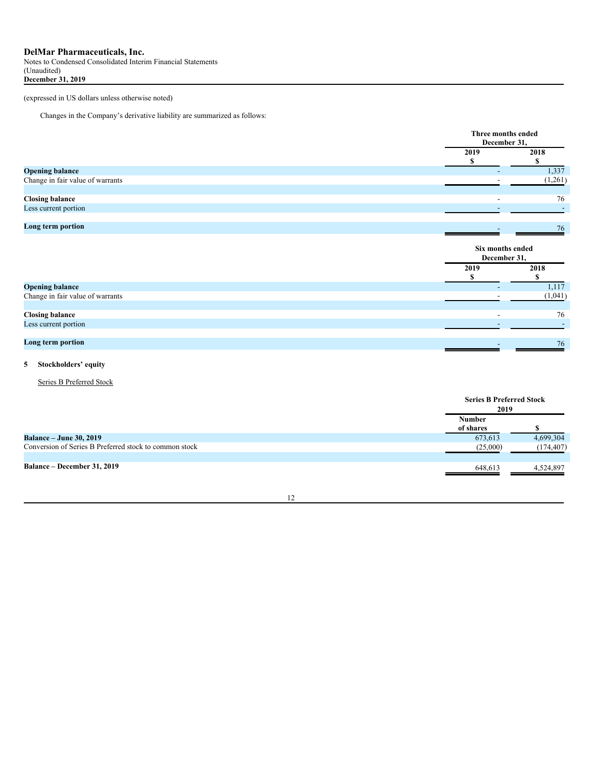Notes to Condensed Consolidated Interim Financial Statements (Unaudited) **December 31, 2019**

(expressed in US dollars unless otherwise noted)

Changes in the Company's derivative liability are summarized as follows:

|                                  | Three months ended<br>December 31, |         |
|----------------------------------|------------------------------------|---------|
|                                  | 2019                               | 2018    |
|                                  |                                    | \$      |
| <b>Opening balance</b>           | -                                  | 1,337   |
| Change in fair value of warrants |                                    | (1,261) |
|                                  |                                    |         |
| <b>Closing balance</b>           |                                    | 76      |
| Less current portion             |                                    |         |
|                                  |                                    |         |
| Long term portion                |                                    | 76      |
|                                  |                                    |         |
|                                  | Six months ended<br>December 31,   |         |
|                                  | 2019                               | 2018    |
|                                  |                                    |         |
| <b>Opening balance</b>           |                                    | 1,117   |
| Change in fair value of warrants |                                    | (1,041) |
|                                  |                                    |         |
| <b>Closing balance</b>           | $\overline{\phantom{0}}$           | 76      |
| Less current portion             |                                    |         |
| Long term portion                |                                    | 76      |

# **5 Stockholders' equity**

Series B Preferred Stock

|                                                        | <b>Series B Preferred Stock</b><br>2019 |            |
|--------------------------------------------------------|-----------------------------------------|------------|
|                                                        | <b>Number</b><br>of shares              |            |
| <b>Balance – June 30, 2019</b>                         | 673,613                                 | 4,699,304  |
| Conversion of Series B Preferred stock to common stock | (25,000)                                | (174, 407) |
| Balance – December 31, 2019                            | 648,613                                 | 4,524,897  |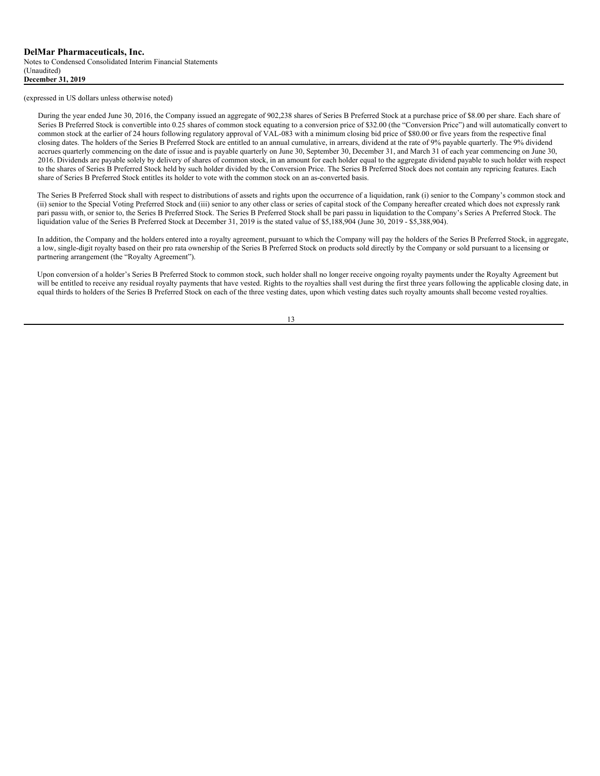During the year ended June 30, 2016, the Company issued an aggregate of 902,238 shares of Series B Preferred Stock at a purchase price of \$8.00 per share. Each share of Series B Preferred Stock is convertible into 0.25 shares of common stock equating to a conversion price of \$32.00 (the "Conversion Price") and will automatically convert to common stock at the earlier of 24 hours following regulatory approval of VAL-083 with a minimum closing bid price of \$80.00 or five years from the respective final closing dates. The holders of the Series B Preferred Stock are entitled to an annual cumulative, in arrears, dividend at the rate of 9% payable quarterly. The 9% dividend accrues quarterly commencing on the date of issue and is payable quarterly on June 30, September 30, December 31, and March 31 of each year commencing on June 30, 2016. Dividends are payable solely by delivery of shares of common stock, in an amount for each holder equal to the aggregate dividend payable to such holder with respect to the shares of Series B Preferred Stock held by such holder divided by the Conversion Price. The Series B Preferred Stock does not contain any repricing features. Each share of Series B Preferred Stock entitles its holder to vote with the common stock on an as-converted basis.

The Series B Preferred Stock shall with respect to distributions of assets and rights upon the occurrence of a liquidation, rank (i) senior to the Company's common stock and (ii) senior to the Special Voting Preferred Stock and (iii) senior to any other class or series of capital stock of the Company hereafter created which does not expressly rank pari passu with, or senior to, the Series B Preferred Stock. The Series B Preferred Stock shall be pari passu in liquidation to the Company's Series A Preferred Stock. The liquidation value of the Series B Preferred Stock at December 31, 2019 is the stated value of \$5,188,904 (June 30, 2019 - \$5,388,904).

In addition, the Company and the holders entered into a royalty agreement, pursuant to which the Company will pay the holders of the Series B Preferred Stock, in aggregate, a low, single-digit royalty based on their pro rata ownership of the Series B Preferred Stock on products sold directly by the Company or sold pursuant to a licensing or partnering arrangement (the "Royalty Agreement").

Upon conversion of a holder's Series B Preferred Stock to common stock, such holder shall no longer receive ongoing royalty payments under the Royalty Agreement but will be entitled to receive any residual royalty payments that have vested. Rights to the royalties shall vest during the first three years following the applicable closing date, in equal thirds to holders of the Series B Preferred Stock on each of the three vesting dates, upon which vesting dates such royalty amounts shall become vested royalties.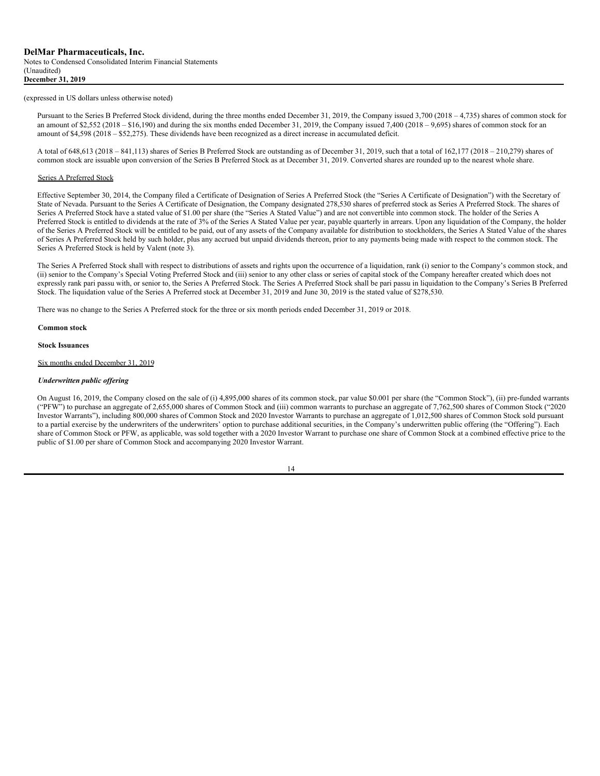Pursuant to the Series B Preferred Stock dividend, during the three months ended December 31, 2019, the Company issued 3,700 (2018 – 4,735) shares of common stock for an amount of \$2,552 (2018 – \$16,190) and during the six months ended December 31, 2019, the Company issued  $7,400$  (2018 – 9,695) shares of common stock for an amount of \$4,598 (2018 – \$52,275). These dividends have been recognized as a direct increase in accumulated deficit.

A total of 648,613 (2018 – 841,113) shares of Series B Preferred Stock are outstanding as of December 31, 2019, such that a total of 162,177 (2018 – 210,279) shares of common stock are issuable upon conversion of the Series B Preferred Stock as at December 31, 2019. Converted shares are rounded up to the nearest whole share.

#### Series A Preferred Stock

Effective September 30, 2014, the Company filed a Certificate of Designation of Series A Preferred Stock (the "Series A Certificate of Designation") with the Secretary of State of Nevada. Pursuant to the Series A Certificate of Designation, the Company designated 278,530 shares of preferred stock as Series A Preferred Stock. The shares of Series A Preferred Stock have a stated value of \$1.00 per share (the "Series A Stated Value") and are not convertible into common stock. The holder of the Series A Preferred Stock is entitled to dividends at the rate of 3% of the Series A Stated Value per year, payable quarterly in arrears. Upon any liquidation of the Company, the holder of the Series A Preferred Stock will be entitled to be paid, out of any assets of the Company available for distribution to stockholders, the Series A Stated Value of the shares of Series A Preferred Stock held by such holder, plus any accrued but unpaid dividends thereon, prior to any payments being made with respect to the common stock. The Series A Preferred Stock is held by Valent (note 3).

The Series A Preferred Stock shall with respect to distributions of assets and rights upon the occurrence of a liquidation, rank (i) senior to the Company's common stock, and (ii) senior to the Company's Special Voting Preferred Stock and (iii) senior to any other class or series of capital stock of the Company hereafter created which does not expressly rank pari passu with, or senior to, the Series A Preferred Stock. The Series A Preferred Stock shall be pari passu in liquidation to the Company's Series B Preferred Stock. The liquidation value of the Series A Preferred stock at December 31, 2019 and June 30, 2019 is the stated value of \$278,530.

There was no change to the Series A Preferred stock for the three or six month periods ended December 31, 2019 or 2018.

#### **Common stock**

**Stock Issuances**

Six months ended December 31, 2019

#### *Underwritten public of ering*

On August 16, 2019, the Company closed on the sale of (i) 4,895,000 shares of its common stock, par value \$0.001 per share (the "Common Stock"), (ii) pre-funded warrants ("PFW") to purchase an aggregate of 2,655,000 shares of Common Stock and (iii) common warrants to purchase an aggregate of 7,762,500 shares of Common Stock ("2020 Investor Warrants"), including 800,000 shares of Common Stock and 2020 Investor Warrants to purchase an aggregate of 1,012,500 shares of Common Stock sold pursuant to a partial exercise by the underwriters of the underwriters' option to purchase additional securities, in the Company's underwritten public offering (the "Offering"). Each share of Common Stock or PFW, as applicable, was sold together with a 2020 Investor Warrant to purchase one share of Common Stock at a combined effective price to the public of \$1.00 per share of Common Stock and accompanying 2020 Investor Warrant.

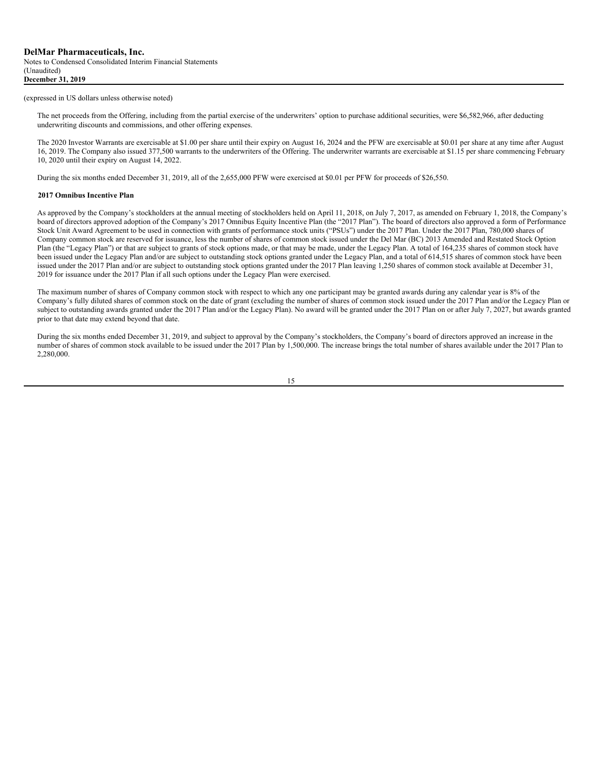The net proceeds from the Offering, including from the partial exercise of the underwriters' option to purchase additional securities, were \$6,582,966, after deducting underwriting discounts and commissions, and other offering expenses.

The 2020 Investor Warrants are exercisable at \$1.00 per share until their expiry on August 16, 2024 and the PFW are exercisable at \$0.01 per share at any time after August 16, 2019. The Company also issued 377,500 warrants to the underwriters of the Offering. The underwriter warrants are exercisable at \$1.15 per share commencing February 10, 2020 until their expiry on August 14, 2022.

During the six months ended December 31, 2019, all of the 2,655,000 PFW were exercised at \$0.01 per PFW for proceeds of \$26,550.

#### **2017 Omnibus Incentive Plan**

As approved by the Company's stockholders at the annual meeting of stockholders held on April 11, 2018, on July 7, 2017, as amended on February 1, 2018, the Company's board of directors approved adoption of the Company's 2017 Omnibus Equity Incentive Plan (the "2017 Plan"). The board of directors also approved a form of Performance Stock Unit Award Agreement to be used in connection with grants of performance stock units ("PSUs") under the 2017 Plan. Under the 2017 Plan, 780,000 shares of Company common stock are reserved for issuance, less the number of shares of common stock issued under the Del Mar (BC) 2013 Amended and Restated Stock Option Plan (the "Legacy Plan") or that are subject to grants of stock options made, or that may be made, under the Legacy Plan. A total of 164,235 shares of common stock have been issued under the Legacy Plan and/or are subject to outstanding stock options granted under the Legacy Plan, and a total of 614,515 shares of common stock have been issued under the 2017 Plan and/or are subject to outstanding stock options granted under the 2017 Plan leaving 1,250 shares of common stock available at December 31, 2019 for issuance under the 2017 Plan if all such options under the Legacy Plan were exercised.

The maximum number of shares of Company common stock with respect to which any one participant may be granted awards during any calendar year is 8% of the Company's fully diluted shares of common stock on the date of grant (excluding the number of shares of common stock issued under the 2017 Plan and/or the Legacy Plan or subject to outstanding awards granted under the 2017 Plan and/or the Legacy Plan). No award will be granted under the 2017 Plan on or after July 7, 2027, but awards granted prior to that date may extend beyond that date.

During the six months ended December 31, 2019, and subject to approval by the Company's stockholders, the Company's board of directors approved an increase in the number of shares of common stock available to be issued under the 2017 Plan by 1,500,000. The increase brings the total number of shares available under the 2017 Plan to 2,280,000.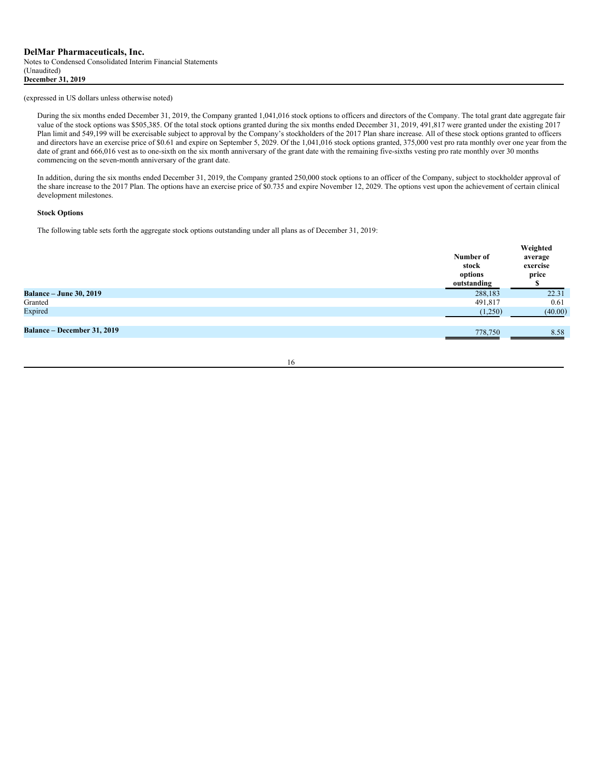During the six months ended December 31, 2019, the Company granted 1,041,016 stock options to officers and directors of the Company. The total grant date aggregate fair value of the stock options was \$505,385. Of the total stock options granted during the six months ended December 31, 2019, 491,817 were granted under the existing 2017 Plan limit and 549,199 will be exercisable subject to approval by the Company's stockholders of the 2017 Plan share increase. All of these stock options granted to officers and directors have an exercise price of \$0.61 and expire on September 5, 2029. Of the 1,041,016 stock options granted, 375,000 vest pro rata monthly over one year from the date of grant and 666,016 vest as to one-sixth on the six month anniversary of the grant date with the remaining five-sixths vesting pro rate monthly over 30 months commencing on the seven-month anniversary of the grant date.

In addition, during the six months ended December 31, 2019, the Company granted 250,000 stock options to an officer of the Company, subject to stockholder approval of the share increase to the 2017 Plan. The options have an exercise price of \$0.735 and expire November 12, 2029. The options vest upon the achievement of certain clinical development milestones.

## **Stock Options**

The following table sets forth the aggregate stock options outstanding under all plans as of December 31, 2019:

|                                | Number of<br>stock<br>options<br>outstanding | Weighted<br>average<br>exercise<br>price |
|--------------------------------|----------------------------------------------|------------------------------------------|
| <b>Balance – June 30, 2019</b> | 288,183                                      | 22.31                                    |
| Granted                        | 491,817                                      | 0.61                                     |
| Expired                        | (1,250)                                      | (40.00)                                  |
| Balance – December 31, 2019    | 778,750                                      | 8.58                                     |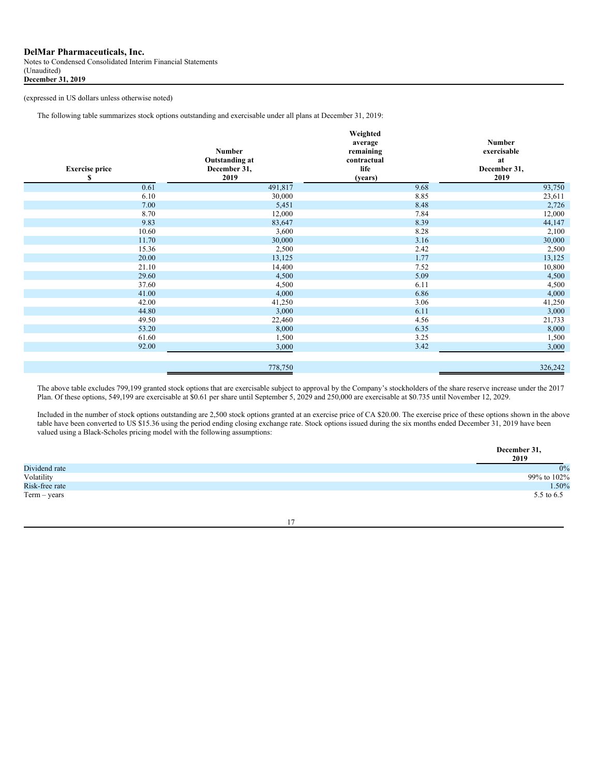Notes to Condensed Consolidated Interim Financial Statements (Unaudited) **December 31, 2019**

(expressed in US dollars unless otherwise noted)

The following table summarizes stock options outstanding and exercisable under all plans at December 31, 2019:

| <b>Exercise price</b><br>\$ | <b>Number</b><br><b>Outstanding at</b><br>December 31,<br>2019 | Weighted<br>average<br>remaining<br>contractual<br>life<br>(years) | <b>Number</b><br>exercisable<br>at<br>December 31,<br>2019 |
|-----------------------------|----------------------------------------------------------------|--------------------------------------------------------------------|------------------------------------------------------------|
| 0.61                        | 491,817                                                        | 9.68                                                               | 93,750                                                     |
| 6.10                        | 30,000                                                         | 8.85                                                               | 23,611                                                     |
| 7.00                        | 5,451                                                          | 8.48                                                               | 2,726                                                      |
| 8.70                        | 12,000                                                         | 7.84                                                               | 12,000                                                     |
| 9.83                        | 83,647                                                         | 8.39                                                               | 44,147                                                     |
| 10.60                       | 3,600                                                          | 8.28                                                               | 2,100                                                      |
| 11.70                       | 30,000                                                         | 3.16                                                               | 30,000                                                     |
| 15.36                       | 2,500                                                          | 2.42                                                               | 2,500                                                      |
| 20.00                       | 13,125                                                         | 1.77                                                               | 13,125                                                     |
| 21.10                       | 14,400                                                         | 7.52                                                               | 10,800                                                     |
| 29.60                       | 4,500                                                          | 5.09                                                               | 4,500                                                      |
| 37.60                       | 4,500                                                          | 6.11                                                               | 4,500                                                      |
| 41.00                       | 4,000                                                          | 6.86                                                               | 4,000                                                      |
| 42.00                       | 41,250                                                         | 3.06                                                               | 41,250                                                     |
| 44.80                       | 3,000                                                          | 6.11                                                               | 3,000                                                      |
| 49.50                       | 22,460                                                         | 4.56                                                               | 21,733                                                     |
| 53.20                       | 8,000                                                          | 6.35                                                               | 8,000                                                      |
| 61.60                       | 1,500                                                          | 3.25                                                               | 1,500                                                      |
| 92.00                       | 3,000                                                          | 3.42                                                               | 3,000                                                      |
|                             |                                                                |                                                                    |                                                            |
|                             | 778,750                                                        |                                                                    | 326,242                                                    |

The above table excludes 799,199 granted stock options that are exercisable subject to approval by the Company's stockholders of the share reserve increase under the 2017 Plan. Of these options, 549,199 are exercisable at \$0.61 per share until September 5, 2029 and 250,000 are exercisable at \$0.735 until November 12, 2029.

Included in the number of stock options outstanding are 2,500 stock options granted at an exercise price of CA \$20.00. The exercise price of these options shown in the above table have been converted to US \$15.36 using the period ending closing exchange rate. Stock options issued during the six months ended December 31, 2019 have been valued using a Black-Scholes pricing model with the following assumptions:

|                | December 31,<br>2019 |
|----------------|----------------------|
| Dividend rate  | $0\%$                |
| Volatility     | 99% to 102%          |
| Risk-free rate | 1.50%                |
| $Term - years$ | 5.5 to 6.5           |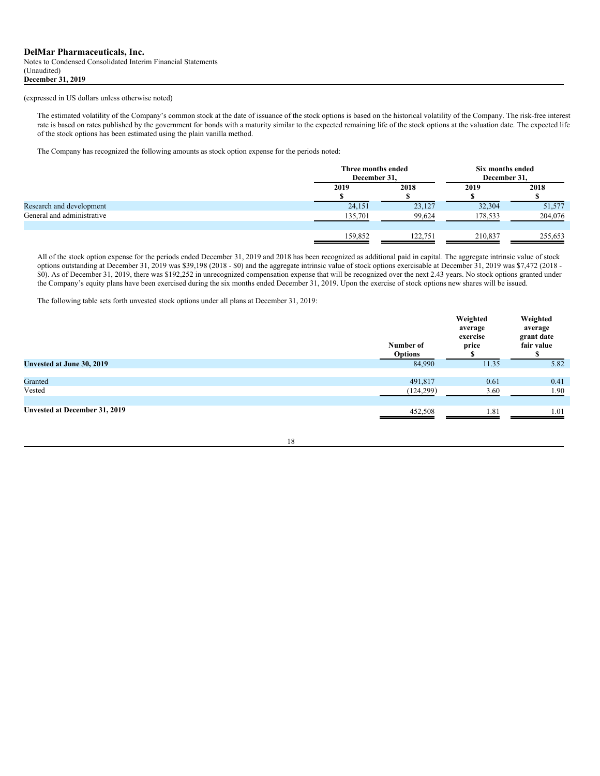Notes to Condensed Consolidated Interim Financial Statements (Unaudited) **December 31, 2019**

## (expressed in US dollars unless otherwise noted)

The estimated volatility of the Company's common stock at the date of issuance of the stock options is based on the historical volatility of the Company. The risk-free interest rate is based on rates published by the government for bonds with a maturity similar to the expected remaining life of the stock options at the valuation date. The expected life of the stock options has been estimated using the plain vanilla method.

The Company has recognized the following amounts as stock option expense for the periods noted:

|                            |         | Three months ended<br>December 31. |         | Six months ended<br>December 31, |  |
|----------------------------|---------|------------------------------------|---------|----------------------------------|--|
|                            | 2019    | 2018                               | 2019    | 2018                             |  |
| Research and development   | 24,151  | 23,127                             | 32,304  | 51,577                           |  |
| General and administrative | 135,701 | 99,624                             | 178,533 | 204,076                          |  |
|                            | 159,852 | 122.751                            | 210,837 | 255,653                          |  |

All of the stock option expense for the periods ended December 31, 2019 and 2018 has been recognized as additional paid in capital. The aggregate intrinsic value of stock options outstanding at December 31, 2019 was \$39,198 (2018 - \$0) and the aggregate intrinsic value of stock options exercisable at December 31, 2019 was \$7,472 (2018 - \$0). As of December 31, 2019, there was \$192,252 in unrecognized compensation expense that will be recognized over the next 2.43 years. No stock options granted under the Company's equity plans have been exercised during the six months ended December 31, 2019. Upon the exercise of stock options new shares will be issued.

The following table sets forth unvested stock options under all plans at December 31, 2019:

|                               | Number of<br><b>Options</b> | Weighted<br>average<br>exercise<br>price | Weighted<br>average<br>grant date<br>fair value |
|-------------------------------|-----------------------------|------------------------------------------|-------------------------------------------------|
| Unvested at June 30, 2019     | 84,990                      | 11.35                                    | 5.82                                            |
| Granted<br>Vested             | 491,817<br>(124, 299)       | 0.61<br>3.60                             | 0.41<br>1.90                                    |
| Unvested at December 31, 2019 | 452,508                     | 1.81                                     | 1.01                                            |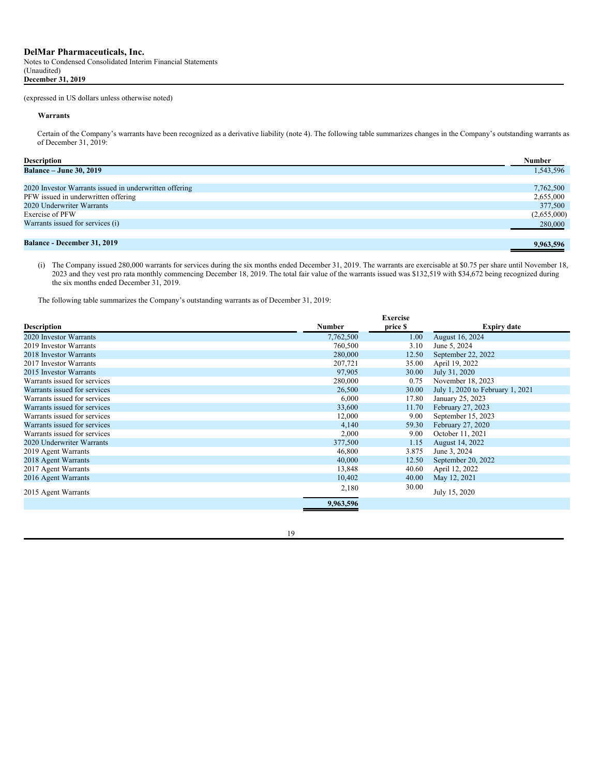#### **Warrants**

Certain of the Company's warrants have been recognized as a derivative liability (note 4). The following table summarizes changes in the Company's outstanding warrants as of December 31, 2019:

| <b>Description</b>                                     | Number      |
|--------------------------------------------------------|-------------|
| <b>Balance – June 30, 2019</b>                         | 1,543,596   |
|                                                        |             |
| 2020 Investor Warrants issued in underwritten offering | 7,762,500   |
| PFW issued in underwritten offering                    | 2,655,000   |
| 2020 Underwriter Warrants                              | 377,500     |
| Exercise of PFW                                        | (2,655,000) |
| Warrants issued for services (i)                       | 280,000     |
|                                                        |             |
| <b>Balance - December 31, 2019</b>                     | 9.963.596   |

(i) The Company issued 280,000 warrants for services during the six months ended December 31, 2019. The warrants are exercisable at \$0.75 per share until November 18, 2023 and they vest pro rata monthly commencing December 18, 2019. The total fair value of the warrants issued was \$132,519 with \$34,672 being recognized during the six months ended December 31, 2019.

The following table summarizes the Company's outstanding warrants as of December 31, 2019:

|                              |               | <b>Exercise</b> |                                  |
|------------------------------|---------------|-----------------|----------------------------------|
| <b>Description</b>           | <b>Number</b> | price \$        | <b>Expiry date</b>               |
| 2020 Investor Warrants       | 7,762,500     | 1.00            | August 16, 2024                  |
| 2019 Investor Warrants       | 760,500       | 3.10            | June 5, 2024                     |
| 2018 Investor Warrants       | 280,000       | 12.50           | September 22, 2022               |
| 2017 Investor Warrants       | 207,721       | 35.00           | April 19, 2022                   |
| 2015 Investor Warrants       | 97,905        | 30.00           | July 31, 2020                    |
| Warrants issued for services | 280,000       | 0.75            | November 18, 2023                |
| Warrants issued for services | 26,500        | 30.00           | July 1, 2020 to February 1, 2021 |
| Warrants issued for services | 6,000         | 17.80           | January 25, 2023                 |
| Warrants issued for services | 33,600        | 11.70           | February 27, 2023                |
| Warrants issued for services | 12,000        | 9.00            | September 15, 2023               |
| Warrants issued for services | 4,140         | 59.30           | February 27, 2020                |
| Warrants issued for services | 2,000         | 9.00            | October 11, 2021                 |
| 2020 Underwriter Warrants    | 377,500       | 1.15            | August 14, 2022                  |
| 2019 Agent Warrants          | 46,800        | 3.875           | June 3, 2024                     |
| 2018 Agent Warrants          | 40,000        | 12.50           | September 20, 2022               |
| 2017 Agent Warrants          | 13,848        | 40.60           | April 12, 2022                   |
| 2016 Agent Warrants          | 10,402        | 40.00           | May 12, 2021                     |
| 2015 Agent Warrants          | 2,180         | 30.00           | July 15, 2020                    |
|                              | 9,963,596     |                 |                                  |
|                              |               |                 |                                  |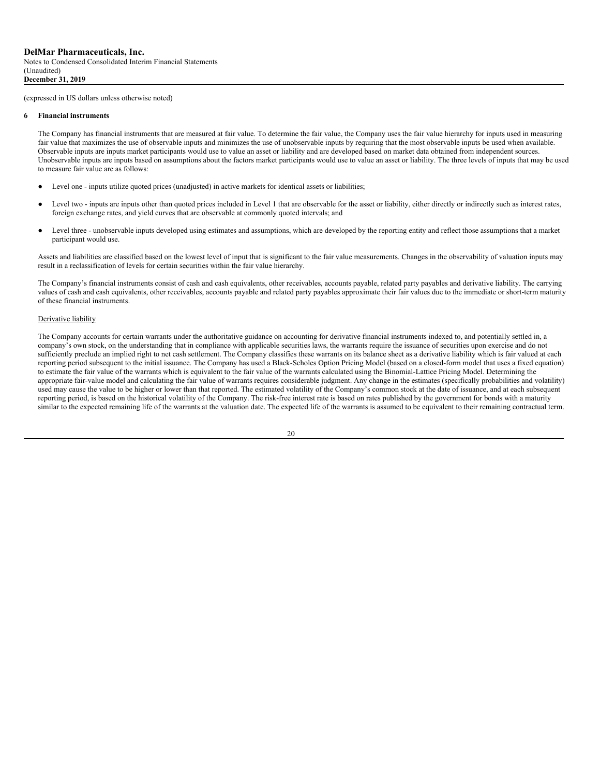#### **6 Financial instruments**

The Company has financial instruments that are measured at fair value. To determine the fair value, the Company uses the fair value hierarchy for inputs used in measuring fair value that maximizes the use of observable inputs and minimizes the use of unobservable inputs by requiring that the most observable inputs be used when available. Observable inputs are inputs market participants would use to value an asset or liability and are developed based on market data obtained from independent sources. Unobservable inputs are inputs based on assumptions about the factors market participants would use to value an asset or liability. The three levels of inputs that may be used to measure fair value are as follows:

- Level one inputs utilize quoted prices (unadjusted) in active markets for identical assets or liabilities;
- Level two inputs are inputs other than quoted prices included in Level 1 that are observable for the asset or liability, either directly or indirectly such as interest rates, foreign exchange rates, and yield curves that are observable at commonly quoted intervals; and
- Level three unobservable inputs developed using estimates and assumptions, which are developed by the reporting entity and reflect those assumptions that a market participant would use.

Assets and liabilities are classified based on the lowest level of input that is significant to the fair value measurements. Changes in the observability of valuation inputs may result in a reclassification of levels for certain securities within the fair value hierarchy.

The Company's financial instruments consist of cash and cash equivalents, other receivables, accounts payable, related party payables and derivative liability. The carrying values of cash and cash equivalents, other receivables, accounts payable and related party payables approximate their fair values due to the immediate or short-term maturity of these financial instruments.

## Derivative liability

The Company accounts for certain warrants under the authoritative guidance on accounting for derivative financial instruments indexed to, and potentially settled in, a company's own stock, on the understanding that in compliance with applicable securities laws, the warrants require the issuance of securities upon exercise and do not sufficiently preclude an implied right to net cash settlement. The Company classifies these warrants on its balance sheet as a derivative liability which is fair valued at each reporting period subsequent to the initial issuance. The Company has used a Black-Scholes Option Pricing Model (based on a closed-form model that uses a fixed equation) to estimate the fair value of the warrants which is equivalent to the fair value of the warrants calculated using the Binomial-Lattice Pricing Model. Determining the appropriate fair-value model and calculating the fair value of warrants requires considerable judgment. Any change in the estimates (specifically probabilities and volatility) used may cause the value to be higher or lower than that reported. The estimated volatility of the Company's common stock at the date of issuance, and at each subsequent reporting period, is based on the historical volatility of the Company. The risk-free interest rate is based on rates published by the government for bonds with a maturity similar to the expected remaining life of the warrants at the valuation date. The expected life of the warrants is assumed to be equivalent to their remaining contractual term.

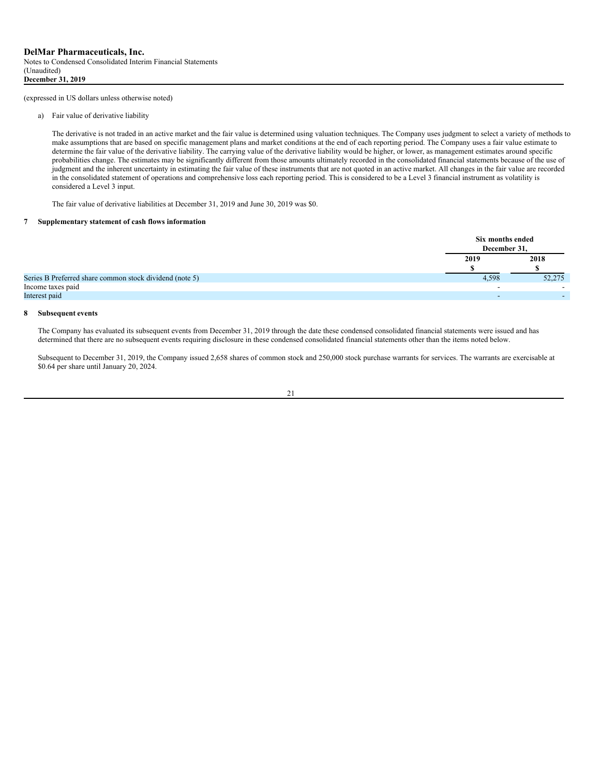a) Fair value of derivative liability

The derivative is not traded in an active market and the fair value is determined using valuation techniques. The Company uses judgment to select a variety of methods to make assumptions that are based on specific management plans and market conditions at the end of each reporting period. The Company uses a fair value estimate to determine the fair value of the derivative liability. The carrying value of the derivative liability would be higher, or lower, as management estimates around specific probabilities change. The estimates may be significantly different from those amounts ultimately recorded in the consolidated financial statements because of the use of judgment and the inherent uncertainty in estimating the fair value of these instruments that are not quoted in an active market. All changes in the fair value are recorded in the consolidated statement of operations and comprehensive loss each reporting period. This is considered to be a Level 3 financial instrument as volatility is considered a Level 3 input.

The fair value of derivative liabilities at December 31, 2019 and June 30, 2019 was \$0.

#### **7 Supplementary statement of cash flows information**

|                                                         | Six months ended<br>December 31. |        |
|---------------------------------------------------------|----------------------------------|--------|
|                                                         | 2019                             | 2018   |
|                                                         |                                  |        |
| Series B Preferred share common stock dividend (note 5) | 4,598                            | 52,275 |
| Income taxes paid                                       |                                  | -      |
| Interest paid                                           |                                  |        |

## **8 Subsequent events**

The Company has evaluated its subsequent events from December 31, 2019 through the date these condensed consolidated financial statements were issued and has determined that there are no subsequent events requiring disclosure in these condensed consolidated financial statements other than the items noted below.

Subsequent to December 31, 2019, the Company issued 2,658 shares of common stock and 250,000 stock purchase warrants for services. The warrants are exercisable at \$0.64 per share until January 20, 2024.

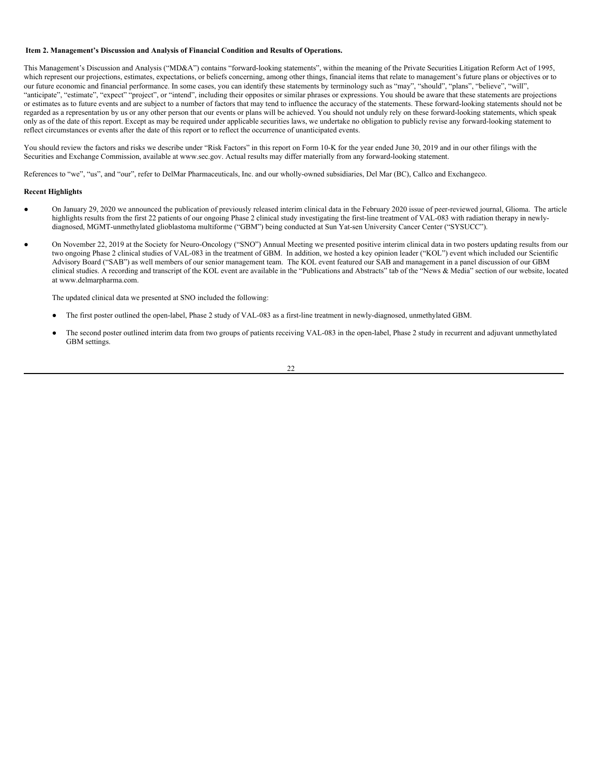#### <span id="page-23-0"></span>**Item 2. Management's Discussion and Analysis of Financial Condition and Results of Operations.**

This Management's Discussion and Analysis ("MD&A") contains "forward-looking statements", within the meaning of the Private Securities Litigation Reform Act of 1995, which represent our projections, estimates, expectations, or beliefs concerning, among other things, financial items that relate to management's future plans or objectives or to our future economic and financial performance. In some cases, you can identify these statements by terminology such as "may", "should", "plans", "believe", "will", "anticipate", "estimate", "expect" "project", or "intend", including their opposites or similar phrases or expressions. You should be aware that these statements are projections or estimates as to future events and are subject to a number of factors that may tend to influence the accuracy of the statements. These forward-looking statements should not be regarded as a representation by us or any other person that our events or plans will be achieved. You should not unduly rely on these forward-looking statements, which speak only as of the date of this report. Except as may be required under applicable securities laws, we undertake no obligation to publicly revise any forward-looking statement to reflect circumstances or events after the date of this report or to reflect the occurrence of unanticipated events.

You should review the factors and risks we describe under "Risk Factors" in this report on Form 10-K for the year ended June 30, 2019 and in our other filings with the Securities and Exchange Commission, available at www.sec.gov. Actual results may differ materially from any forward-looking statement.

References to "we", "us", and "our", refer to DelMar Pharmaceuticals, Inc. and our wholly-owned subsidiaries, Del Mar (BC), Callco and Exchangeco.

#### **Recent Highlights**

- On January 29, 2020 we announced the publication of previously released interim clinical data in the February 2020 issue of peer-reviewed journal, Glioma. The article highlights results from the first 22 patients of our ongoing Phase 2 clinical study investigating the first-line treatment of VAL-083 with radiation therapy in newlydiagnosed, MGMT-unmethylated glioblastoma multiforme ("GBM") being conducted at Sun Yat-sen University Cancer Center ("SYSUCC").
- On November 22, 2019 at the Society for Neuro-Oncology ("SNO") Annual Meeting we presented positive interim clinical data in two posters updating results from our two ongoing Phase 2 clinical studies of VAL-083 in the treatment of GBM. In addition, we hosted a key opinion leader ("KOL") event which included our Scientific Advisory Board ("SAB") as well members of our senior management team. The KOL event featured our SAB and management in a panel discussion of our GBM clinical studies. A recording and transcript of the KOL event are available in the "Publications and Abstracts" tab of the "News & Media" section of our website, located at www.delmarpharma.com.

The updated clinical data we presented at SNO included the following:

- The first poster outlined the open-label, Phase 2 study of VAL-083 as a first-line treatment in newly-diagnosed, unmethylated GBM.
- The second poster outlined interim data from two groups of patients receiving VAL-083 in the open-label, Phase 2 study in recurrent and adjuvant unmethylated GBM settings.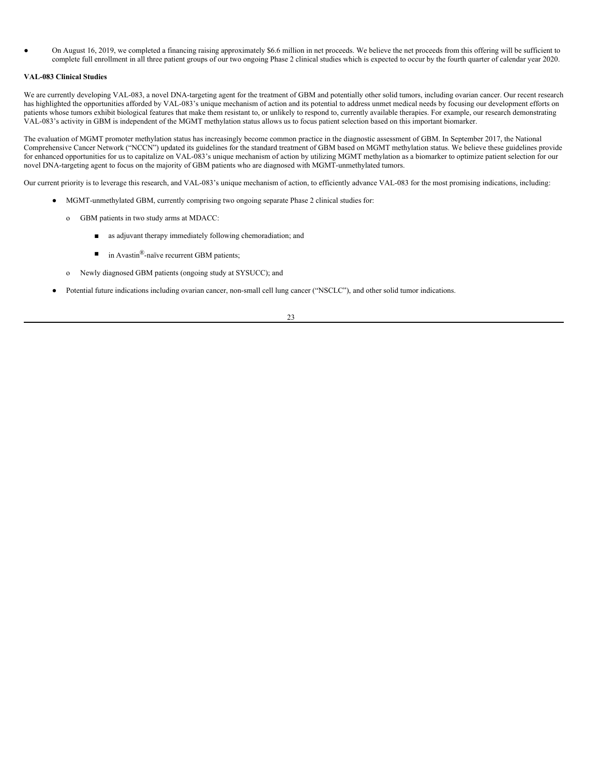On August 16, 2019, we completed a financing raising approximately \$6.6 million in net proceeds. We believe the net proceeds from this offering will be sufficient to complete full enrollment in all three patient groups of our two ongoing Phase 2 clinical studies which is expected to occur by the fourth quarter of calendar year 2020.

## **VAL-083 Clinical Studies**

We are currently developing VAL-083, a novel DNA-targeting agent for the treatment of GBM and potentially other solid tumors, including ovarian cancer. Our recent research has highlighted the opportunities afforded by VAL-083's unique mechanism of action and its potential to address unmet medical needs by focusing our development efforts on patients whose tumors exhibit biological features that make them resistant to, or unlikely to respond to, currently available therapies. For example, our research demonstrating VAL-083's activity in GBM is independent of the MGMT methylation status allows us to focus patient selection based on this important biomarker.

The evaluation of MGMT promoter methylation status has increasingly become common practice in the diagnostic assessment of GBM. In September 2017, the National Comprehensive Cancer Network ("NCCN") updated its guidelines for the standard treatment of GBM based on MGMT methylation status. We believe these guidelines provide for enhanced opportunities for us to capitalize on VAL-083's unique mechanism of action by utilizing MGMT methylation as a biomarker to optimize patient selection for our novel DNA-targeting agent to focus on the majority of GBM patients who are diagnosed with MGMT-unmethylated tumors.

Our current priority is to leverage this research, and VAL-083's unique mechanism of action, to efficiently advance VAL-083 for the most promising indications, including:

- MGMT-unmethylated GBM, currently comprising two ongoing separate Phase 2 clinical studies for:
	- o GBM patients in two study arms at MDACC:
		- as adjuvant therapy immediately following chemoradiation; and
		- in Avastin<sup>®</sup>-naïve recurrent GBM patients;
	- o Newly diagnosed GBM patients (ongoing study at SYSUCC); and
- Potential future indications including ovarian cancer, non-small cell lung cancer ("NSCLC"), and other solid tumor indications.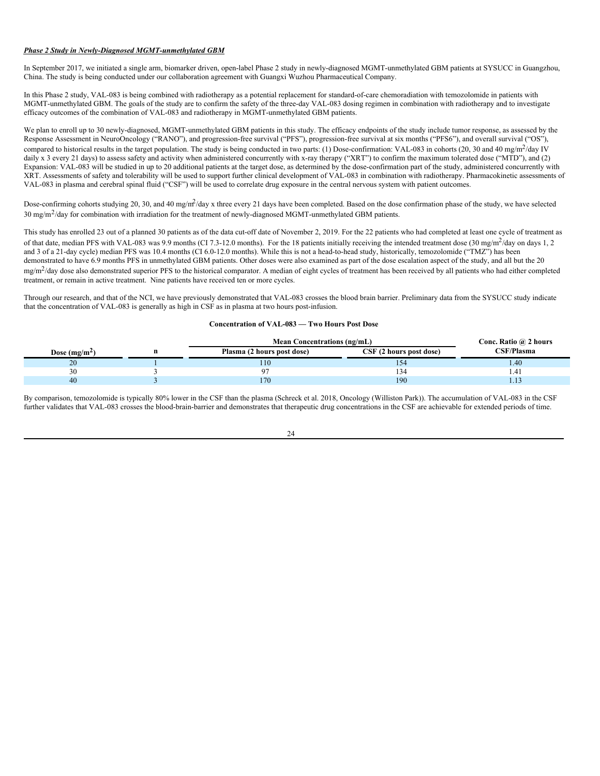## *Phase 2 Study in Newly-Diagnosed MGMT-unmethylated GBM*

In September 2017, we initiated a single arm, biomarker driven, open-label Phase 2 study in newly-diagnosed MGMT-unmethylated GBM patients at SYSUCC in Guangzhou, China. The study is being conducted under our collaboration agreement with Guangxi Wuzhou Pharmaceutical Company.

In this Phase 2 study, VAL-083 is being combined with radiotherapy as a potential replacement for standard-of-care chemoradiation with temozolomide in patients with MGMT-unmethylated GBM. The goals of the study are to confirm the safety of the three-day VAL-083 dosing regimen in combination with radiotherapy and to investigate efficacy outcomes of the combination of VAL-083 and radiotherapy in MGMT-unmethylated GBM patients.

We plan to enroll up to 30 newly-diagnosed, MGMT-unmethylated GBM patients in this study. The efficacy endpoints of the study include tumor response, as assessed by the Response Assessment in NeuroOncology ("RANO"), and progression-free survival ("PFS"), progression-free survival at six months ("PFS6"), and overall survival ("OS"), compared to historical results in the target population. The study is being conducted in two parts: (1) Dose-confirmation: VAL-083 in cohorts (20, 30 and 40 mg/m<sup>2</sup>/day IV daily x 3 every 21 days) to assess safety and activity when administered concurrently with x-ray therapy ("XRT") to confirm the maximum tolerated dose ("MTD"), and (2) Expansion: VAL-083 will be studied in up to 20 additional patients at the target dose, as determined by the dose-confirmation part of the study, administered concurrently with XRT. Assessments of safety and tolerability will be used to support further clinical development of VAL-083 in combination with radiotherapy. Pharmacokinetic assessments of VAL-083 in plasma and cerebral spinal fluid ("CSF") will be used to correlate drug exposure in the central nervous system with patient outcomes.

Dose-confirming cohorts studying 20, 30, and 40 mg/m<sup>2</sup>/day x three every 21 days have been completed. Based on the dose confirmation phase of the study, we have selected 30 mg/m<sup>2</sup>/day for combination with irradiation for the treatment of newly-diagnosed MGMT-unmethylated GBM patients.

This study has enrolled 23 out of a planned 30 patients as of the data cut-off date of November 2, 2019. For the 22 patients who had completed at least one cycle of treatment as of that date, median PFS with VAL-083 was 9.9 months (CI 7.3-12.0 months). For the 18 patients initially receiving the intended treatment dose (30 mg/m<sup>2</sup>/day on days 1, 2 and 3 of a 21-day cycle) median PFS was 10.4 months (CI 6.0-12.0 months). While this is not a head-to-head study, historically, temozolomide ("TMZ") has been demonstrated to have 6.9 months PFS in unmethylated GBM patients. Other doses were also examined as part of the dose escalation aspect of the study, and all but the 20 mg/m<sup>2</sup>/day dose also demonstrated superior PFS to the historical comparator. A median of eight cycles of treatment has been received by all patients who had either completed treatment, or remain in active treatment. Nine patients have received ten or more cycles.

Through our research, and that of the NCI, we have previously demonstrated that VAL-083 crosses the blood brain barrier. Preliminary data from the SYSUCC study indicate that the concentration of VAL-083 is generally as high in CSF as in plasma at two hours post-infusion.

## **Concentration of VAL-083 — Two Hours Post Dose**

|                 | <b>Mean Concentrations (ng/mL)</b> |                         | Conc. Ratio @ 2 hours |
|-----------------|------------------------------------|-------------------------|-----------------------|
| Dose $(mg/m^2)$ | Plasma (2 hours post dose)         | CSF (2 hours post dose) | CSF/Plasma            |
| 20              | 110                                | 34                      | .40 <sub>1</sub>      |
| 30              |                                    | 34ء                     | 1.41                  |
| 40              | 170                                | 190                     |                       |

By comparison, temozolomide is typically 80% lower in the CSF than the plasma (Schreck et al. 2018, Oncology (Williston Park)). The accumulation of VAL-083 in the CSF further validates that VAL-083 crosses the blood-brain-barrier and demonstrates that therapeutic drug concentrations in the CSF are achievable for extended periods of time.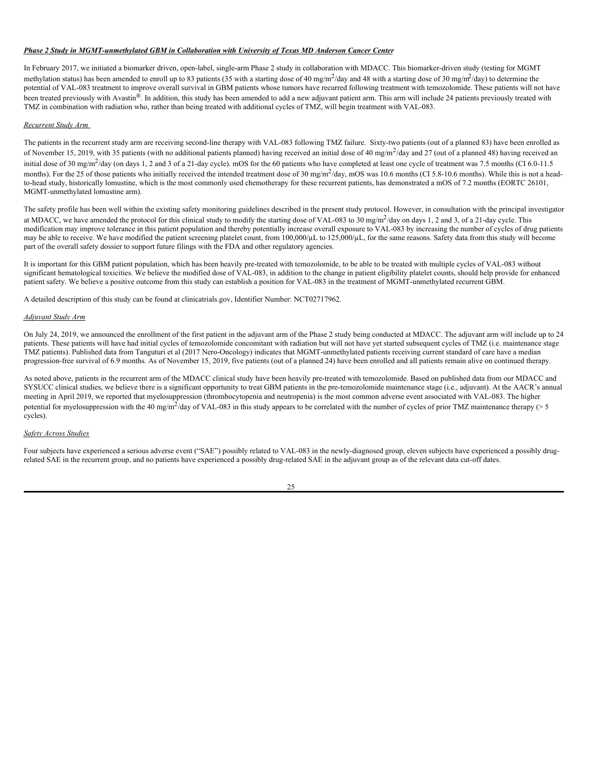## *Phase 2 Study in MGMT-unmethylated GBM in Collaboration with University of Texas MD Anderson Cancer Center*

In February 2017, we initiated a biomarker driven, open-label, single-arm Phase 2 study in collaboration with MDACC. This biomarker-driven study (testing for MGMT methylation status) has been amended to enroll up to 83 patients (35 with a starting dose of 40 mg/m<sup>2</sup>/day and 48 with a starting dose of 30 mg/m<sup>2</sup>/day) to determine the potential of VAL-083 treatment to improve overall survival in GBM patients whose tumors have recurred following treatment with temozolomide. These patients will not have been treated previously with Avastin®. In addition, this study has been amended to add a new adjuvant patient arm. This arm will include 24 patients previously treated with TMZ in combination with radiation who, rather than being treated with additional cycles of TMZ, will begin treatment with VAL-083.

## *Recurrent Study Arm*

The patients in the recurrent study arm are receiving second-line therapy with VAL-083 following TMZ failure. Sixty-two patients (out of a planned 83) have been enrolled as of November 15, 2019, with 35 patients (with no additional patients planned) having received an initial dose of 40 mg/m<sup>2</sup>/day and 27 (out of a planned 48) having received an initial dose of 30 mg/m<sup>2</sup>/day (on days 1, 2 and 3 of a 21-day cycle). mOS for the 60 patients who have completed at least one cycle of treatment was 7.5 months (CI 6.0-11.5) months). For the 25 of those patients who initially received the intended treatment dose of 30 mg/m<sup>2</sup>/day, mOS was 10.6 months (CI 5.8-10.6 months). While this is not a headto-head study, historically lomustine, which is the most commonly used chemotherapy for these recurrent patients, has demonstrated a mOS of 7.2 months (EORTC 26101, MGMT-unmethylated lomustine arm).

The safety profile has been well within the existing safety monitoring guidelines described in the present study protocol. However, in consultation with the principal investigator at MDACC, we have amended the protocol for this clinical study to modify the starting dose of VAL-083 to 30 mg/m<sup>2</sup>/day on days 1, 2 and 3, of a 21-day cycle. This modification may improve tolerance in this patient population and thereby potentially increase overall exposure to VAL-083 by increasing the number of cycles of drug patients may be able to receive. We have modified the patient screening platelet count, from 100,000/µL to 125,000/µL, for the same reasons. Safety data from this study will become part of the overall safety dossier to support future filings with the FDA and other regulatory agencies.

It is important for this GBM patient population, which has been heavily pre-treated with temozolomide, to be able to be treated with multiple cycles of VAL-083 without significant hematological toxicities. We believe the modified dose of VAL-083, in addition to the change in patient eligibility platelet counts, should help provide for enhanced patient safety. We believe a positive outcome from this study can establish a position for VAL-083 in the treatment of MGMT-unmethylated recurrent GBM.

A detailed description of this study can be found at clinicatrials.gov, Identifier Number: NCT02717962.

#### *Adjuvant Study Arm*

On July 24, 2019, we announced the enrollment of the first patient in the adjuvant arm of the Phase 2 study being conducted at MDACC. The adjuvant arm will include up to 24 patients. These patients will have had initial cycles of temozolomide concomitant with radiation but will not have yet started subsequent cycles of TMZ (i.e. maintenance stage TMZ patients). Published data from Tanguturi et al (2017 Nero-Oncology) indicates that MGMT-unmethylated patients receiving current standard of care have a median progression-free survival of 6.9 months. As of November 15, 2019, five patients (out of a planned 24) have been enrolled and all patients remain alive on continued therapy.

As noted above, patients in the recurrent arm of the MDACC clinical study have been heavily pre-treated with temozolomide. Based on published data from our MDACC and SYSUCC clinical studies, we believe there is a significant opportunity to treat GBM patients in the pre-temozolomide maintenance stage (i.e., adjuvant). At the AACR's annual meeting in April 2019, we reported that myelosuppression (thrombocytopenia and neutropenia) is the most common adverse event associated with VAL-083. The higher potential for myelosuppression with the 40 mg/m<sup>2</sup>/day of VAL-083 in this study appears to be correlated with the number of cycles of prior TMZ maintenance therapy (> 5 cycles).

## *Safety Across Studies*

Four subjects have experienced a serious adverse event ("SAE") possibly related to VAL-083 in the newly-diagnosed group, eleven subjects have experienced a possibly drugrelated SAE in the recurrent group, and no patients have experienced a possibly drug-related SAE in the adjuvant group as of the relevant data cut-off dates.

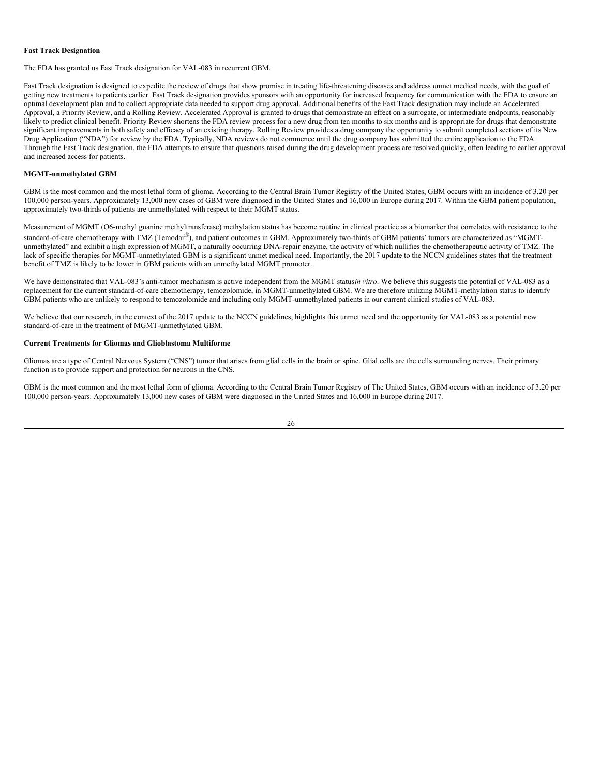### **Fast Track Designation**

The FDA has granted us Fast Track designation for VAL-083 in recurrent GBM.

Fast Track designation is designed to expedite the review of drugs that show promise in treating life-threatening diseases and address unmet medical needs, with the goal of getting new treatments to patients earlier. Fast Track designation provides sponsors with an opportunity for increased frequency for communication with the FDA to ensure an optimal development plan and to collect appropriate data needed to support drug approval. Additional benefits of the Fast Track designation may include an Accelerated Approval, a Priority Review, and a Rolling Review. Accelerated Approval is granted to drugs that demonstrate an effect on a surrogate, or intermediate endpoints, reasonably likely to predict clinical benefit. Priority Review shortens the FDA review process for a new drug from ten months to six months and is appropriate for drugs that demonstrate significant improvements in both safety and efficacy of an existing therapy. Rolling Review provides a drug company the opportunity to submit completed sections of its New Drug Application ("NDA") for review by the FDA. Typically, NDA reviews do not commence until the drug company has submitted the entire application to the FDA. Through the Fast Track designation, the FDA attempts to ensure that questions raised during the drug development process are resolved quickly, often leading to earlier approval and increased access for patients.

## **MGMT-unmethylated GBM**

GBM is the most common and the most lethal form of glioma. According to the Central Brain Tumor Registry of the United States, GBM occurs with an incidence of 3.20 per 100,000 person-years. Approximately 13,000 new cases of GBM were diagnosed in the United States and 16,000 in Europe during 2017. Within the GBM patient population, approximately two-thirds of patients are unmethylated with respect to their MGMT status.

Measurement of MGMT (O6-methyl guanine methyltransferase) methylation status has become routine in clinical practice as a biomarker that correlates with resistance to the standard-of-care chemotherapy with TMZ (Temodar®), and patient outcomes in GBM. Approximately two-thirds of GBM patients' tumors are characterized as "MGMTunmethylated" and exhibit a high expression of MGMT, a naturally occurring DNA-repair enzyme, the activity of which nullifies the chemotherapeutic activity of TMZ. The lack of specific therapies for MGMT-unmethylated GBM is a significant unmet medical need. Importantly, the 2017 update to the NCCN guidelines states that the treatment benefit of TMZ is likely to be lower in GBM patients with an unmethylated MGMT promoter.

We have demonstrated that VAL-083's anti-tumor mechanism is active independent from the MGMT status*in vitro*. We believe this suggests the potential of VAL-083 as a replacement for the current standard-of-care chemotherapy, temozolomide, in MGMT-unmethylated GBM. We are therefore utilizing MGMT-methylation status to identify GBM patients who are unlikely to respond to temozolomide and including only MGMT-unmethylated patients in our current clinical studies of VAL-083.

We believe that our research, in the context of the 2017 update to the NCCN guidelines, highlights this unmet need and the opportunity for VAL-083 as a potential new standard-of-care in the treatment of MGMT-unmethylated GBM.

## **Current Treatments for Gliomas and Glioblastoma Multiforme**

Gliomas are a type of Central Nervous System ("CNS") tumor that arises from glial cells in the brain or spine. Glial cells are the cells surrounding nerves. Their primary function is to provide support and protection for neurons in the CNS.

GBM is the most common and the most lethal form of glioma. According to the Central Brain Tumor Registry of The United States, GBM occurs with an incidence of 3.20 per 100,000 person-years. Approximately 13,000 new cases of GBM were diagnosed in the United States and 16,000 in Europe during 2017.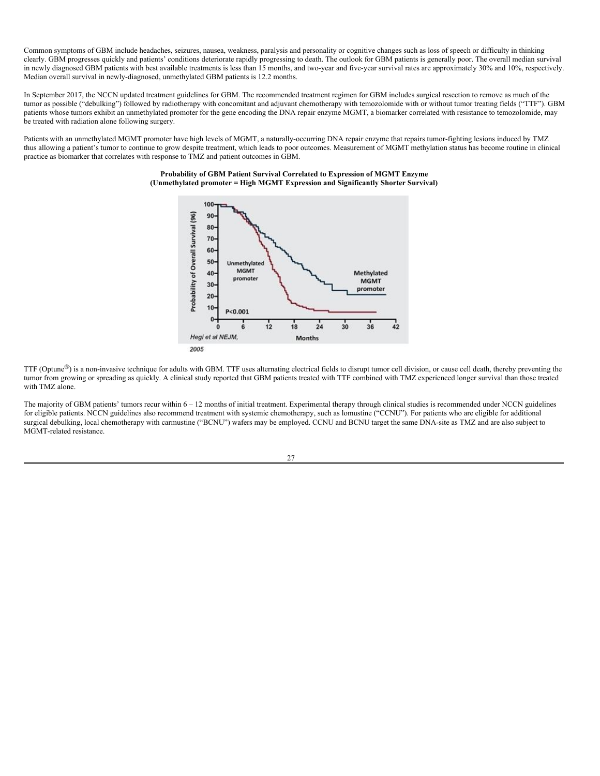Common symptoms of GBM include headaches, seizures, nausea, weakness, paralysis and personality or cognitive changes such as loss of speech or difficulty in thinking clearly. GBM progresses quickly and patients' conditions deteriorate rapidly progressing to death. The outlook for GBM patients is generally poor. The overall median survival in newly diagnosed GBM patients with best available treatments is less than 15 months, and two-year and five-year survival rates are approximately 30% and 10%, respectively. Median overall survival in newly-diagnosed, unmethylated GBM patients is 12.2 months.

In September 2017, the NCCN updated treatment guidelines for GBM. The recommended treatment regimen for GBM includes surgical resection to remove as much of the tumor as possible ("debulking") followed by radiotherapy with concomitant and adjuvant chemotherapy with temozolomide with or without tumor treating fields ("TTF"). GBM patients whose tumors exhibit an unmethylated promoter for the gene encoding the DNA repair enzyme MGMT, a biomarker correlated with resistance to temozolomide, may be treated with radiation alone following surgery.

Patients with an unmethylated MGMT promoter have high levels of MGMT, a naturally-occurring DNA repair enzyme that repairs tumor-fighting lesions induced by TMZ thus allowing a patient's tumor to continue to grow despite treatment, which leads to poor outcomes. Measurement of MGMT methylation status has become routine in clinical practice as biomarker that correlates with response to TMZ and patient outcomes in GBM.

### **Probability of GBM Patient Survival Correlated to Expression of MGMT Enzyme (Unmethylated promoter = High MGMT Expression and Significantly Shorter Survival)**



TTF (Optune<sup>®</sup>) is a non-invasive technique for adults with GBM. TTF uses alternating electrical fields to disrupt tumor cell division, or cause cell death, thereby preventing the tumor from growing or spreading as quickly. A clinical study reported that GBM patients treated with TTF combined with TMZ experienced longer survival than those treated with TMZ alone.

The majority of GBM patients' tumors recur within 6 – 12 months of initial treatment. Experimental therapy through clinical studies is recommended under NCCN guidelines for eligible patients. NCCN guidelines also recommend treatment with systemic chemotherapy, such as lomustine ("CCNU"). For patients who are eligible for additional surgical debulking, local chemotherapy with carmustine ("BCNU") wafers may be employed. CCNU and BCNU target the same DNA-site as TMZ and are also subject to MGMT-related resistance.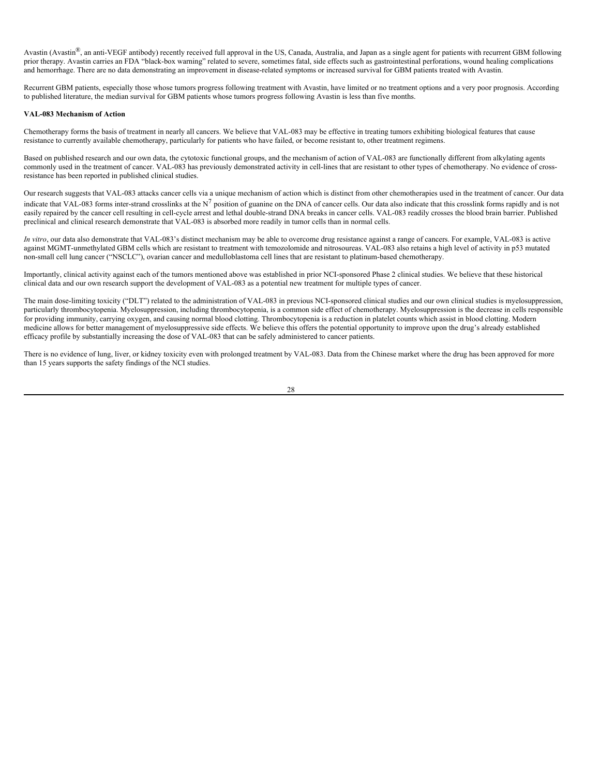Avastin (Avastin®, an anti-VEGF antibody) recently received full approval in the US, Canada, Australia, and Japan as a single agent for patients with recurrent GBM following prior therapy. Avastin carries an FDA "black-box warning" related to severe, sometimes fatal, side effects such as gastrointestinal perforations, wound healing complications and hemorrhage. There are no data demonstrating an improvement in disease-related symptoms or increased survival for GBM patients treated with Avastin.

Recurrent GBM patients, especially those whose tumors progress following treatment with Avastin, have limited or no treatment options and a very poor prognosis. According to published literature, the median survival for GBM patients whose tumors progress following Avastin is less than five months.

## **VAL-083 Mechanism of Action**

Chemotherapy forms the basis of treatment in nearly all cancers. We believe that VAL-083 may be effective in treating tumors exhibiting biological features that cause resistance to currently available chemotherapy, particularly for patients who have failed, or become resistant to, other treatment regimens.

Based on published research and our own data, the cytotoxic functional groups, and the mechanism of action of VAL-083 are functionally different from alkylating agents commonly used in the treatment of cancer. VAL-083 has previously demonstrated activity in cell-lines that are resistant to other types of chemotherapy. No evidence of crossresistance has been reported in published clinical studies.

Our research suggests that VAL-083 attacks cancer cells via a unique mechanism of action which is distinct from other chemotherapies used in the treatment of cancer. Our data indicate that VAL-083 forms inter-strand crosslinks at the  $N^7$  position of guanine on the DNA of cancer cells. Our data also indicate that this crosslink forms rapidly and is not easily repaired by the cancer cell resulting in cell-cycle arrest and lethal double-strand DNA breaks in cancer cells. VAL-083 readily crosses the blood brain barrier. Published preclinical and clinical research demonstrate that VAL-083 is absorbed more readily in tumor cells than in normal cells.

*In vitro*, our data also demonstrate that VAL-083's distinct mechanism may be able to overcome drug resistance against a range of cancers. For example, VAL-083 is active against MGMT-unmethylated GBM cells which are resistant to treatment with temozolomide and nitrosoureas. VAL-083 also retains a high level of activity in p53 mutated non-small cell lung cancer ("NSCLC"), ovarian cancer and medulloblastoma cell lines that are resistant to platinum-based chemotherapy.

Importantly, clinical activity against each of the tumors mentioned above was established in prior NCI-sponsored Phase 2 clinical studies. We believe that these historical clinical data and our own research support the development of VAL-083 as a potential new treatment for multiple types of cancer.

The main dose-limiting toxicity ("DLT") related to the administration of VAL-083 in previous NCI-sponsored clinical studies and our own clinical studies is myelosuppression, particularly thrombocytopenia. Myelosuppression, including thrombocytopenia, is a common side effect of chemotherapy. Myelosuppression is the decrease in cells responsible for providing immunity, carrying oxygen, and causing normal blood clotting. Thrombocytopenia is a reduction in platelet counts which assist in blood clotting. Modern medicine allows for better management of myelosuppressive side effects. We believe this offers the potential opportunity to improve upon the drug's already established efficacy profile by substantially increasing the dose of VAL-083 that can be safely administered to cancer patients.

There is no evidence of lung, liver, or kidney toxicity even with prolonged treatment by VAL-083. Data from the Chinese market where the drug has been approved for more than 15 years supports the safety findings of the NCI studies.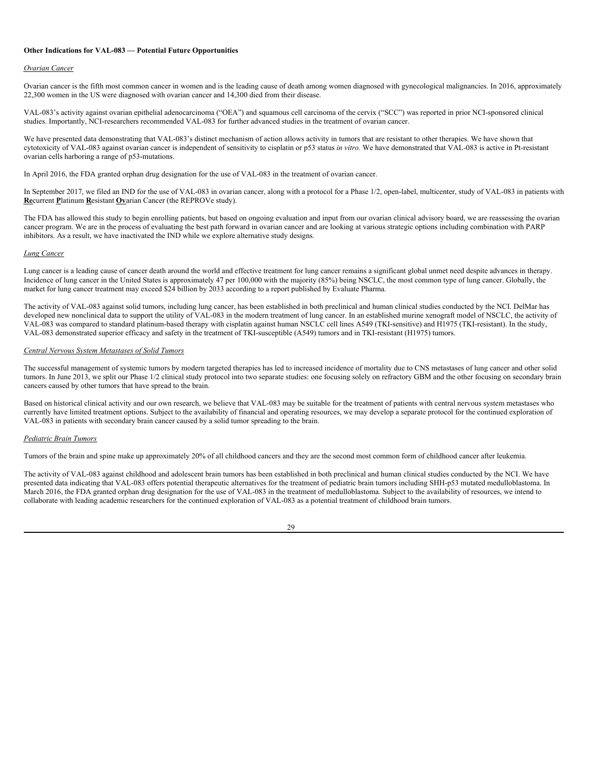### **Other Indications for VAL-083 — Potential Future Opportunities**

#### *Ovarian Cancer*

Ovarian cancer is the fifth most common cancer in women and is the leading cause of death among women diagnosed with gynecological malignancies. In 2016, approximately 22,300 women in the US were diagnosed with ovarian cancer and 14,300 died from their disease.

VAL-083's activity against ovarian epithelial adenocarcinoma ("OEA") and squamous cell carcinoma of the cervix ("SCC") was reported in prior NCI-sponsored clinical studies. Importantly, NCI-researchers recommended VAL-083 for further advanced studies in the treatment of ovarian cancer.

We have presented data demonstrating that VAL-083's distinct mechanism of action allows activity in tumors that are resistant to other therapies. We have shown that cytotoxicity of VAL-083 against ovarian cancer is independent of sensitivity to cisplatin or p53 status *in vitro.* We have demonstrated that VAL-083 is active in Pt-resistant ovarian cells harboring a range of p53-mutations.

In April 2016, the FDA granted orphan drug designation for the use of VAL-083 in the treatment of ovarian cancer.

In September 2017, we filed an IND for the use of VAL-083 in ovarian cancer, along with a protocol for a Phase 1/2, open-label, multicenter, study of VAL-083 in patients with **Re**current **P**latinum **R**esistant **Ov**arian Cancer (the REPROVe study).

The FDA has allowed this study to begin enrolling patients, but based on ongoing evaluation and input from our ovarian clinical advisory board, we are reassessing the ovarian cancer program. We are in the process of evaluating the best path forward in ovarian cancer and are looking at various strategic options including combination with PARP inhibitors. As a result, we have inactivated the IND while we explore alternative study designs.

## *Lung Cancer*

Lung cancer is a leading cause of cancer death around the world and effective treatment for lung cancer remains a significant global unmet need despite advances in therapy. Incidence of lung cancer in the United States is approximately 47 per 100,000 with the majority (85%) being NSCLC, the most common type of lung cancer. Globally, the market for lung cancer treatment may exceed \$24 billion by 2033 according to a report published by Evaluate Pharma.

The activity of VAL-083 against solid tumors, including lung cancer, has been established in both preclinical and human clinical studies conducted by the NCI. DelMar has developed new nonclinical data to support the utility of VAL-083 in the modern treatment of lung cancer. In an established murine xenograft model of NSCLC, the activity of VAL-083 was compared to standard platinum-based therapy with cisplatin against human NSCLC cell lines A549 (TKI-sensitive) and H1975 (TKI-resistant). In the study, VAL-083 demonstrated superior efficacy and safety in the treatment of TKI-susceptible (A549) tumors and in TKI-resistant (H1975) tumors.

## *Central Nervous System Metastases of Solid Tumors*

The successful management of systemic tumors by modern targeted therapies has led to increased incidence of mortality due to CNS metastases of lung cancer and other solid tumors. In June 2013, we split our Phase 1/2 clinical study protocol into two separate studies: one focusing solely on refractory GBM and the other focusing on secondary brain cancers caused by other tumors that have spread to the brain.

Based on historical clinical activity and our own research, we believe that VAL-083 may be suitable for the treatment of patients with central nervous system metastases who currently have limited treatment options. Subject to the availability of financial and operating resources, we may develop a separate protocol for the continued exploration of VAL-083 in patients with secondary brain cancer caused by a solid tumor spreading to the brain.

#### *Pediatric Brain Tumors*

Tumors of the brain and spine make up approximately 20% of all childhood cancers and they are the second most common form of childhood cancer after leukemia.

The activity of VAL-083 against childhood and adolescent brain tumors has been established in both preclinical and human clinical studies conducted by the NCI. We have presented data indicating that VAL-083 offers potential therapeutic alternatives for the treatment of pediatric brain tumors including SHH-p53 mutated medulloblastoma. In March 2016, the FDA granted orphan drug designation for the use of VAL-083 in the treatment of medulloblastoma. Subject to the availability of resources, we intend to collaborate with leading academic researchers for the continued exploration of VAL-083 as a potential treatment of childhood brain tumors.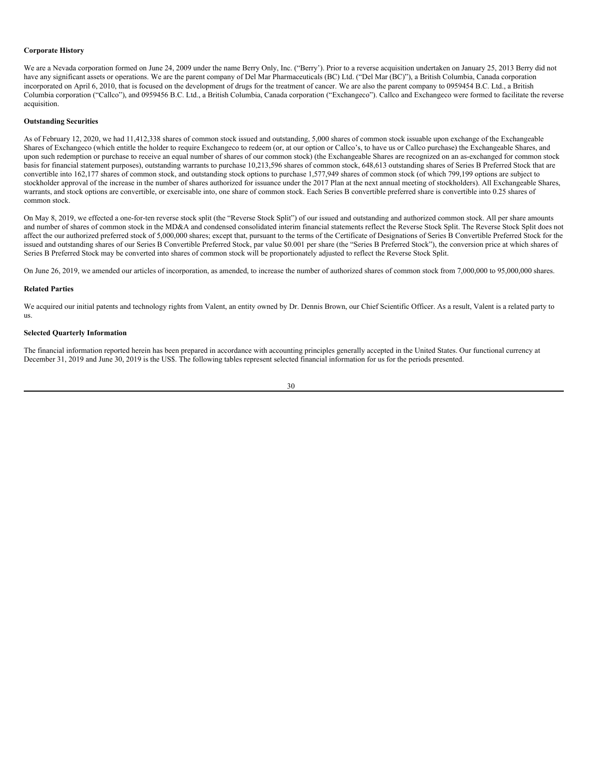#### **Corporate History**

We are a Nevada corporation formed on June 24, 2009 under the name Berry Only, Inc. ("Berry'). Prior to a reverse acquisition undertaken on January 25, 2013 Berry did not have any significant assets or operations. We are the parent company of Del Mar Pharmaceuticals (BC) Ltd. ("Del Mar (BC)"), a British Columbia, Canada corporation incorporated on April 6, 2010, that is focused on the development of drugs for the treatment of cancer. We are also the parent company to 0959454 B.C. Ltd., a British Columbia corporation ("Callco"), and 0959456 B.C. Ltd., a British Columbia, Canada corporation ("Exchangeco"). Callco and Exchangeco were formed to facilitate the reverse acquisition.

#### **Outstanding Securities**

As of February 12, 2020, we had 11,412,338 shares of common stock issued and outstanding, 5,000 shares of common stock issuable upon exchange of the Exchangeable Shares of Exchangeco (which entitle the holder to require Exchangeco to redeem (or, at our option or Callco's, to have us or Callco purchase) the Exchangeable Shares, and upon such redemption or purchase to receive an equal number of shares of our common stock) (the Exchangeable Shares are recognized on an as-exchanged for common stock basis for financial statement purposes), outstanding warrants to purchase 10,213,596 shares of common stock, 648,613 outstanding shares of Series B Preferred Stock that are convertible into 162,177 shares of common stock, and outstanding stock options to purchase 1,577,949 shares of common stock (of which 799,199 options are subject to stockholder approval of the increase in the number of shares authorized for issuance under the 2017 Plan at the next annual meeting of stockholders). All Exchangeable Shares, warrants, and stock options are convertible, or exercisable into, one share of common stock. Each Series B convertible preferred share is convertible into 0.25 shares of common stock.

On May 8, 2019, we effected a one-for-ten reverse stock split (the "Reverse Stock Split") of our issued and outstanding and authorized common stock. All per share amounts and number of shares of common stock in the MD&A and condensed consolidated interim financial statements reflect the Reverse Stock Split. The Reverse Stock Split does not affect the our authorized preferred stock of 5,000,000 shares; except that, pursuant to the terms of the Certificate of Designations of Series B Convertible Preferred Stock for the issued and outstanding shares of our Series B Convertible Preferred Stock, par value \$0.001 per share (the "Series B Preferred Stock"), the conversion price at which shares of Series B Preferred Stock may be converted into shares of common stock will be proportionately adjusted to reflect the Reverse Stock Split.

On June 26, 2019, we amended our articles of incorporation, as amended, to increase the number of authorized shares of common stock from 7,000,000 to 95,000,000 shares.

#### **Related Parties**

We acquired our initial patents and technology rights from Valent, an entity owned by Dr. Dennis Brown, our Chief Scientific Officer. As a result, Valent is a related party to us.

## **Selected Quarterly Information**

The financial information reported herein has been prepared in accordance with accounting principles generally accepted in the United States. Our functional currency at December 31, 2019 and June 30, 2019 is the US\$. The following tables represent selected financial information for us for the periods presented.

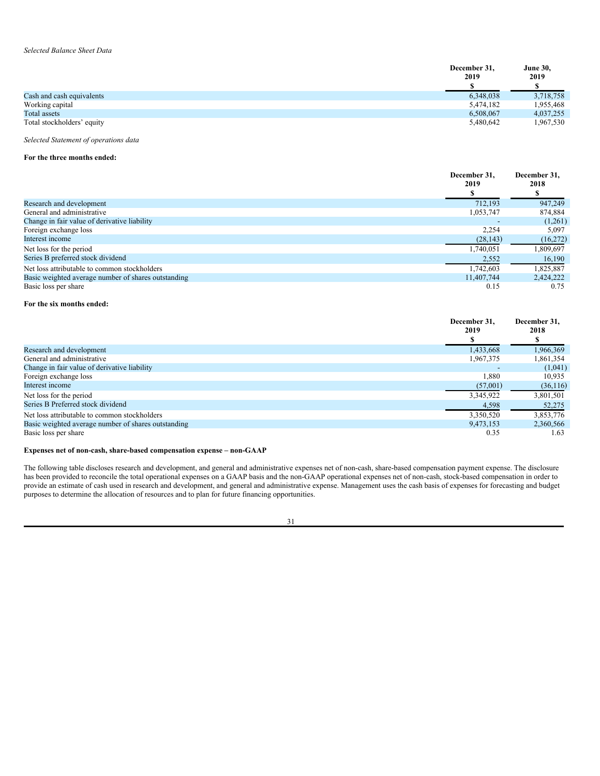|                            | December 31, | <b>June 30,</b> |
|----------------------------|--------------|-----------------|
|                            | 2019         | 2019            |
|                            |              |                 |
| Cash and cash equivalents  | 6,348,038    | 3,718,758       |
| Working capital            | 5,474,182    | 1,955,468       |
| Total assets               | 6,508,067    | 4,037,255       |
| Total stockholders' equity | 5,480,642    | 967,530         |

*Selected Statement of operations data*

## **For the three months ended:**

|                                                     | December 31.<br>2019 | December 31,<br>2018 |
|-----------------------------------------------------|----------------------|----------------------|
|                                                     |                      |                      |
| Research and development                            | 712.193              | 947,249              |
| General and administrative                          | 1,053,747            | 874,884              |
| Change in fair value of derivative liability        |                      | (1,261)              |
| Foreign exchange loss                               | 2,254                | 5,097                |
| Interest income                                     | (28, 143)            | (16,272)             |
| Net loss for the period                             | 1,740,051            | 1,809,697            |
| Series B preferred stock dividend                   | 2,552                | 16,190               |
| Net loss attributable to common stockholders        | 1,742,603            | 1,825,887            |
| Basic weighted average number of shares outstanding | 11,407,744           | 2,424,222            |
| Basic loss per share                                | 0.15                 | 0.75                 |

## **For the six months ended:**

|                                                     | December 31.<br>2019 | December 31,<br>2018 |
|-----------------------------------------------------|----------------------|----------------------|
|                                                     |                      |                      |
| Research and development                            | 1,433,668            | 1,966,369            |
| General and administrative                          | 1,967,375            | 1,861,354            |
| Change in fair value of derivative liability        |                      | (1,041)              |
| Foreign exchange loss                               | 1,880                | 10,935               |
| Interest income                                     | (57,001)             | (36,116)             |
| Net loss for the period                             | 3,345,922            | 3,801,501            |
| Series B Preferred stock dividend                   | 4,598                | 52,275               |
| Net loss attributable to common stockholders        | 3.350.520            | 3,853,776            |
| Basic weighted average number of shares outstanding | 9,473,153            | 2,360,566            |
| Basic loss per share                                | 0.35                 | 1.63                 |

## **Expenses net of non-cash, share-based compensation expense – non-GAAP**

The following table discloses research and development, and general and administrative expenses net of non-cash, share-based compensation payment expense. The disclosure has been provided to reconcile the total operational expenses on a GAAP basis and the non-GAAP operational expenses net of non-cash, stock-based compensation in order to provide an estimate of cash used in research and development, and general and administrative expense. Management uses the cash basis of expenses for forecasting and budget purposes to determine the allocation of resources and to plan for future financing opportunities.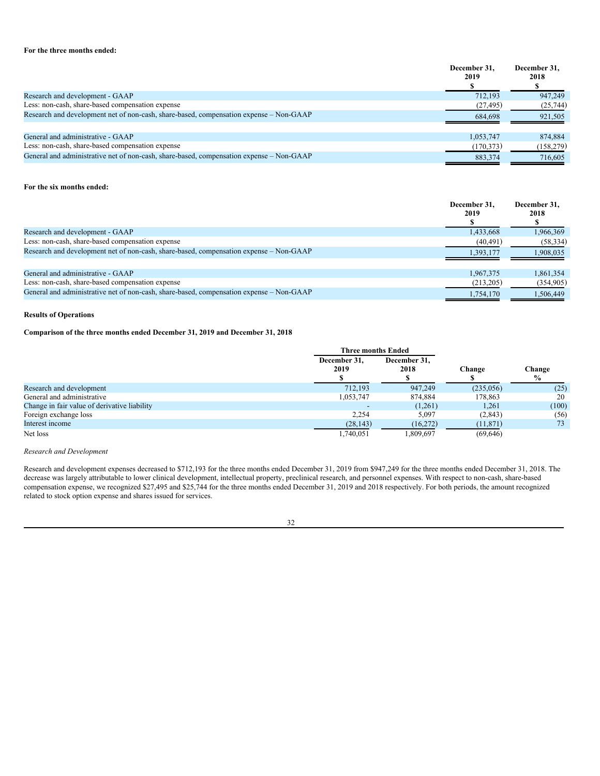## **For the three months ended:**

|                                                                                          | December 31.<br>2019 | December 31.<br>2018 |
|------------------------------------------------------------------------------------------|----------------------|----------------------|
| Research and development - GAAP                                                          | 712.193              | 947,249              |
| Less: non-cash, share-based compensation expense                                         | (27, 495)            | (25, 744)            |
| Research and development net of non-cash, share-based, compensation expense – Non-GAAP   | 684,698              | 921,505              |
| General and administrative - GAAP                                                        | 1,053,747            | 874,884              |
| Less: non-cash, share-based compensation expense                                         | (170, 373)           | (158,279)            |
| General and administrative net of non-cash, share-based, compensation expense – Non-GAAP | 883,374              | 716.605              |

## **For the six months ended:**

|                                                                                          | December 31.<br>2019 | December 31,<br>2018 |
|------------------------------------------------------------------------------------------|----------------------|----------------------|
| Research and development - GAAP                                                          | 1,433,668            | 1,966,369            |
| Less: non-cash, share-based compensation expense                                         | (40, 491)            | (58, 334)            |
| Research and development net of non-cash, share-based, compensation expense – Non-GAAP   | 1,393,177            | 1,908,035            |
| General and administrative - GAAP                                                        | 1.967.375            | 1,861,354            |
| Less: non-cash, share-based compensation expense                                         | (213,205)            | (354,905)            |
| General and administrative net of non-cash, share-based, compensation expense – Non-GAAP | 1,754,170            | 1,506,449            |

## **Results of Operations**

# **Comparison of the three months ended December 31, 2019 and December 31, 2018**

|                                              | <b>Three months Ended</b> |                      | Change    | Change<br>$\frac{0}{0}$ |
|----------------------------------------------|---------------------------|----------------------|-----------|-------------------------|
|                                              | December 31.<br>2019      | December 31,<br>2018 |           |                         |
| Research and development                     | 712.193                   | 947,249              | (235,056) | (25)                    |
| General and administrative                   | 1,053,747                 | 874.884              | 178,863   | 20                      |
| Change in fair value of derivative liability |                           | (1,261)              | 1,261     | (100)                   |
| Foreign exchange loss                        | 2.254                     | 5,097                | (2, 843)  | (56)                    |
| Interest income                              | (28, 143)                 | (16,272)             | (11, 871) | 73                      |
| Net loss                                     | 1.740.051                 | 1.809.697            | (69, 646) |                         |

# *Research and Development*

Research and development expenses decreased to \$712,193 for the three months ended December 31, 2019 from \$947,249 for the three months ended December 31, 2018. The decrease was largely attributable to lower clinical development, intellectual property, preclinical research, and personnel expenses. With respect to non-cash, share-based compensation expense, we recognized \$27,495 and \$25,744 for the three months ended December 31, 2019 and 2018 respectively. For both periods, the amount recognized related to stock option expense and shares issued for services.

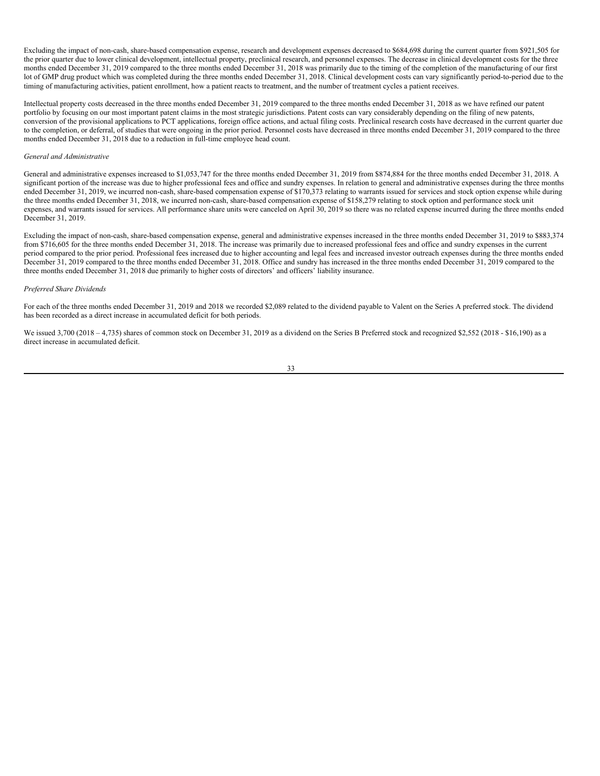Excluding the impact of non-cash, share-based compensation expense, research and development expenses decreased to \$684,698 during the current quarter from \$921,505 for the prior quarter due to lower clinical development, intellectual property, preclinical research, and personnel expenses. The decrease in clinical development costs for the three months ended December 31, 2019 compared to the three months ended December 31, 2018 was primarily due to the timing of the completion of the manufacturing of our first lot of GMP drug product which was completed during the three months ended December 31, 2018. Clinical development costs can vary significantly period-to-period due to the timing of manufacturing activities, patient enrollment, how a patient reacts to treatment, and the number of treatment cycles a patient receives.

Intellectual property costs decreased in the three months ended December 31, 2019 compared to the three months ended December 31, 2018 as we have refined our patent portfolio by focusing on our most important patent claims in the most strategic jurisdictions. Patent costs can vary considerably depending on the filing of new patents, conversion of the provisional applications to PCT applications, foreign office actions, and actual filing costs. Preclinical research costs have decreased in the current quarter due to the completion, or deferral, of studies that were ongoing in the prior period. Personnel costs have decreased in three months ended December 31, 2019 compared to the three months ended December 31, 2018 due to a reduction in full-time employee head count.

## *General and Administrative*

General and administrative expenses increased to \$1,053,747 for the three months ended December 31, 2019 from \$874,884 for the three months ended December 31, 2018. A significant portion of the increase was due to higher professional fees and office and sundry expenses. In relation to general and administrative expenses during the three months ended December 31, 2019, we incurred non-cash, share-based compensation expense of \$170,373 relating to warrants issued for services and stock option expense while during the three months ended December 31, 2018, we incurred non-cash, share-based compensation expense of \$158,279 relating to stock option and performance stock unit expenses, and warrants issued for services. All performance share units were canceled on April 30, 2019 so there was no related expense incurred during the three months ended December 31, 2019.

Excluding the impact of non-cash, share-based compensation expense, general and administrative expenses increased in the three months ended December 31, 2019 to \$883,374 from \$716,605 for the three months ended December 31, 2018. The increase was primarily due to increased professional fees and office and sundry expenses in the current period compared to the prior period. Professional fees increased due to higher accounting and legal fees and increased investor outreach expenses during the three months ended December 31, 2019 compared to the three months ended December 31, 2018. Office and sundry has increased in the three months ended December 31, 2019 compared to the three months ended December 31, 2018 due primarily to higher costs of directors' and officers' liability insurance.

#### *Preferred Share Dividends*

For each of the three months ended December 31, 2019 and 2018 we recorded \$2,089 related to the dividend payable to Valent on the Series A preferred stock. The dividend has been recorded as a direct increase in accumulated deficit for both periods.

We issued 3,700 (2018 – 4,735) shares of common stock on December 31, 2019 as a dividend on the Series B Preferred stock and recognized \$2,552 (2018 - \$16,190) as a direct increase in accumulated deficit.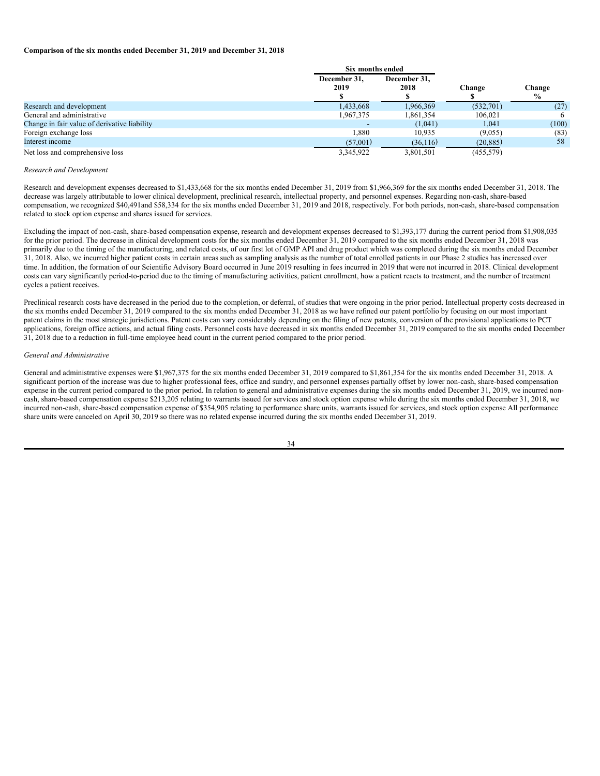#### **Comparison of the six months ended December 31, 2019 and December 31, 2018**

|                                              | Six months ended     |                      |            |                         |
|----------------------------------------------|----------------------|----------------------|------------|-------------------------|
|                                              | December 31.<br>2019 | December 31,<br>2018 | Change     | Change<br>$\frac{0}{0}$ |
| Research and development                     | 1,433,668            | 1.966.369            | (532,701)  | (27)                    |
| General and administrative                   | 1,967,375            | .861,354             | 106.021    | 6                       |
| Change in fair value of derivative liability |                      | (1,041)              | 1,041      | (100)                   |
| Foreign exchange loss                        | 1.880                | 10.935               | (9.055)    | (83)                    |
| Interest income                              | (57,001)             | (36,116)             | (20, 885)  | 58                      |
| Net loss and comprehensive loss              | 3.345.922            | 3.801.501            | (455, 579) |                         |

#### *Research and Development*

Research and development expenses decreased to \$1,433,668 for the six months ended December 31, 2019 from \$1,966,369 for the six months ended December 31, 2018. The decrease was largely attributable to lower clinical development, preclinical research, intellectual property, and personnel expenses. Regarding non-cash, share-based compensation, we recognized \$40,491and \$58,334 for the six months ended December 31, 2019 and 2018, respectively. For both periods, non-cash, share-based compensation related to stock option expense and shares issued for services.

Excluding the impact of non-cash, share-based compensation expense, research and development expenses decreased to \$1,393,177 during the current period from \$1,908,035 for the prior period. The decrease in clinical development costs for the six months ended December 31, 2019 compared to the six months ended December 31, 2018 was primarily due to the timing of the manufacturing, and related costs, of our first lot of GMP API and drug product which was completed during the six months ended December 31, 2018. Also, we incurred higher patient costs in certain areas such as sampling analysis as the number of total enrolled patients in our Phase 2 studies has increased over time. In addition, the formation of our Scientific Advisory Board occurred in June 2019 resulting in fees incurred in 2019 that were not incurred in 2018. Clinical development costs can vary significantly period-to-period due to the timing of manufacturing activities, patient enrollment, how a patient reacts to treatment, and the number of treatment cycles a patient receives.

Preclinical research costs have decreased in the period due to the completion, or deferral, of studies that were ongoing in the prior period. Intellectual property costs decreased in the six months ended December 31, 2019 compared to the six months ended December 31, 2018 as we have refined our patent portfolio by focusing on our most important patent claims in the most strategic jurisdictions. Patent costs can vary considerably depending on the filing of new patents, conversion of the provisional applications to PCT applications, foreign office actions, and actual filing costs. Personnel costs have decreased in six months ended December 31, 2019 compared to the six months ended December 31, 2018 due to a reduction in full-time employee head count in the current period compared to the prior period.

#### *General and Administrative*

General and administrative expenses were \$1,967,375 for the six months ended December 31, 2019 compared to \$1,861,354 for the six months ended December 31, 2018. A significant portion of the increase was due to higher professional fees, office and sundry, and personnel expenses partially offset by lower non-cash, share-based compensation expense in the current period compared to the prior period. In relation to general and administrative expenses during the six months ended December 31, 2019, we incurred noncash, share-based compensation expense \$213,205 relating to warrants issued for services and stock option expense while during the six months ended December 31, 2018, we incurred non-cash, share-based compensation expense of \$354,905 relating to performance share units, warrants issued for services, and stock option expense All performance share units were canceled on April 30, 2019 so there was no related expense incurred during the six months ended December 31, 2019.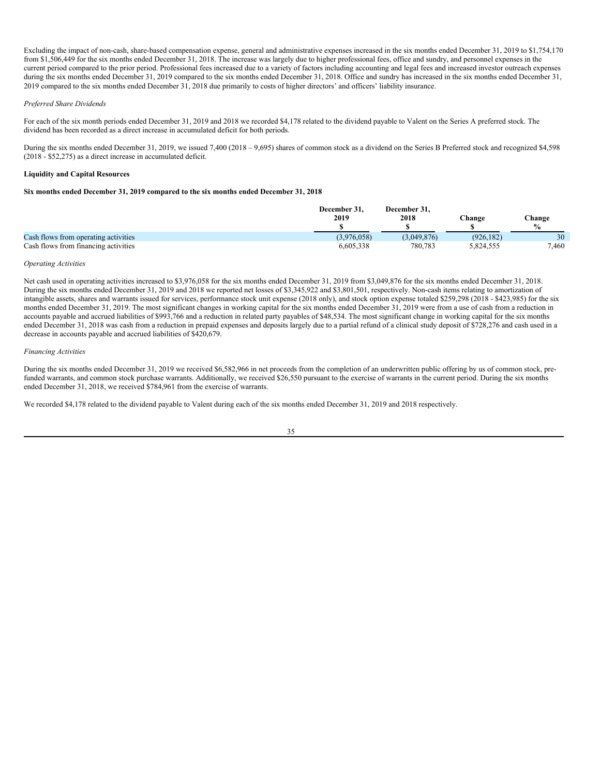Excluding the impact of non-cash, share-based compensation expense, general and administrative expenses increased in the six months ended December 31, 2019 to \$1,754,170 from \$1,506,449 for the six months ended December 31, 2018. The increase was largely due to higher professional fees, office and sundry, and personnel expenses in the current period compared to the prior period. Professional fees increased due to a variety of factors including accounting and legal fees and increased investor outreach expenses during the six months ended December 31, 2019 compared to the six months ended December 31, 2018. Office and sundry has increased in the six months ended December 31, 2019 compared to the six months ended December 31, 2018 due primarily to costs of higher directors' and officers' liability insurance.

### *Preferred Share Dividends*

For each of the six month periods ended December 31, 2019 and 2018 we recorded \$4,178 related to the dividend payable to Valent on the Series A preferred stock. The dividend has been recorded as a direct increase in accumulated deficit for both periods.

During the six months ended December 31, 2019, we issued 7,400 (2018 – 9,695) shares of common stock as a dividend on the Series B Preferred stock and recognized \$4,598 (2018 - \$52,275) as a direct increase in accumulated deficit.

## **Liquidity and Capital Resources**

## **Six months ended December 31, 2019 compared to the six months ended December 31, 2018**

|                                      | December 31.<br>2019 | December 31.<br>2018 | $n$ hange | Change<br>$\mathbf{0}_{\alpha}$ |
|--------------------------------------|----------------------|----------------------|-----------|---------------------------------|
| Cash flows from operating activities | (3.976.058)          | (3,049,876)          | (926.182) | 30                              |
| Cash flows from financing activities | 6.605.338            | 780.783              | 5,824,555 | 7,460                           |

## *Operating Activities*

Net cash used in operating activities increased to \$3,976,058 for the six months ended December 31, 2019 from \$3,049,876 for the six months ended December 31, 2018. During the six months ended December 31, 2019 and 2018 we reported net losses of \$3,345,922 and \$3,801,501, respectively. Non-cash items relating to amortization of intangible assets, shares and warrants issued for services, performance stock unit expense (2018 only), and stock option expense totaled \$259,298 (2018 - \$423,985) for the six months ended December 31, 2019. The most significant changes in working capital for the six months ended December 31, 2019 were from a use of cash from a reduction in accounts payable and accrued liabilities of \$993,766 and a reduction in related party payables of \$48,534. The most significant change in working capital for the six months ended December 31, 2018 was cash from a reduction in prepaid expenses and deposits largely due to a partial refund of a clinical study deposit of \$728,276 and cash used in a decrease in accounts payable and accrued liabilities of \$420,679.

#### *Financing Activities*

During the six months ended December 31, 2019 we received \$6,582,966 in net proceeds from the completion of an underwritten public offering by us of common stock, prefunded warrants, and common stock purchase warrants. Additionally, we received \$26,550 pursuant to the exercise of warrants in the current period. During the six months ended December 31, 2018, we received \$784,961 from the exercise of warrants.

We recorded \$4,178 related to the dividend payable to Valent during each of the six months ended December 31, 2019 and 2018 respectively.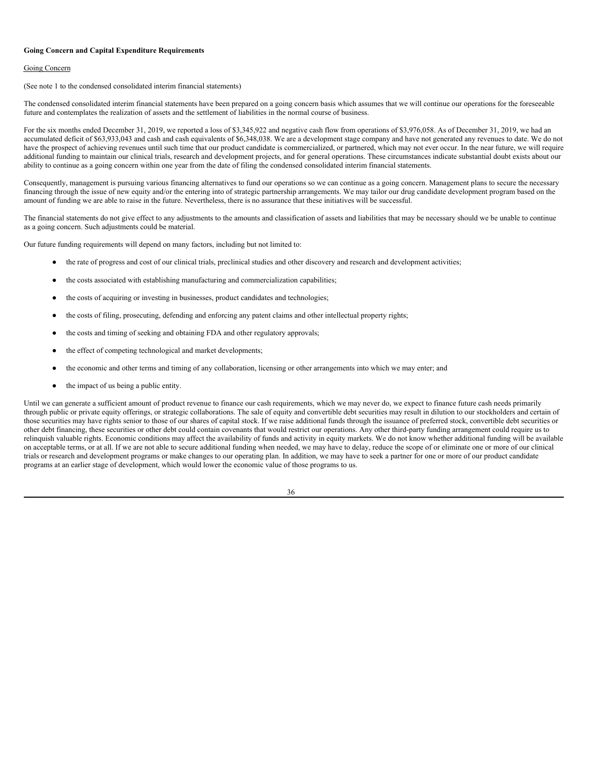#### **Going Concern and Capital Expenditure Requirements**

## Going Concern

(See note 1 to the condensed consolidated interim financial statements)

The condensed consolidated interim financial statements have been prepared on a going concern basis which assumes that we will continue our operations for the foreseeable future and contemplates the realization of assets and the settlement of liabilities in the normal course of business.

For the six months ended December 31, 2019, we reported a loss of \$3,345,922 and negative cash flow from operations of \$3,976,058. As of December 31, 2019, we had an accumulated deficit of \$63,933,043 and cash and cash equivalents of \$6,348,038. We are a development stage company and have not generated any revenues to date. We do not have the prospect of achieving revenues until such time that our product candidate is commercialized, or partnered, which may not ever occur. In the near future, we will require additional funding to maintain our clinical trials, research and development projects, and for general operations. These circumstances indicate substantial doubt exists about our ability to continue as a going concern within one year from the date of filing the condensed consolidated interim financial statements.

Consequently, management is pursuing various financing alternatives to fund our operations so we can continue as a going concern. Management plans to secure the necessary financing through the issue of new equity and/or the entering into of strategic partnership arrangements. We may tailor our drug candidate development program based on the amount of funding we are able to raise in the future. Nevertheless, there is no assurance that these initiatives will be successful.

The financial statements do not give effect to any adjustments to the amounts and classification of assets and liabilities that may be necessary should we be unable to continue as a going concern. Such adjustments could be material.

Our future funding requirements will depend on many factors, including but not limited to:

- the rate of progress and cost of our clinical trials, preclinical studies and other discovery and research and development activities;
- the costs associated with establishing manufacturing and commercialization capabilities;
- the costs of acquiring or investing in businesses, product candidates and technologies;
- the costs of filing, prosecuting, defending and enforcing any patent claims and other intellectual property rights;
- the costs and timing of seeking and obtaining FDA and other regulatory approvals;
- the effect of competing technological and market developments;
- the economic and other terms and timing of any collaboration, licensing or other arrangements into which we may enter; and
- the impact of us being a public entity.

Until we can generate a sufficient amount of product revenue to finance our cash requirements, which we may never do, we expect to finance future cash needs primarily through public or private equity offerings, or strategic collaborations. The sale of equity and convertible debt securities may result in dilution to our stockholders and certain of those securities may have rights senior to those of our shares of capital stock. If we raise additional funds through the issuance of preferred stock, convertible debt securities or other debt financing, these securities or other debt could contain covenants that would restrict our operations. Any other third-party funding arrangement could require us to relinquish valuable rights. Economic conditions may affect the availability of funds and activity in equity markets. We do not know whether additional funding will be available on acceptable terms, or at all. If we are not able to secure additional funding when needed, we may have to delay, reduce the scope of or eliminate one or more of our clinical trials or research and development programs or make changes to our operating plan. In addition, we may have to seek a partner for one or more of our product candidate programs at an earlier stage of development, which would lower the economic value of those programs to us.

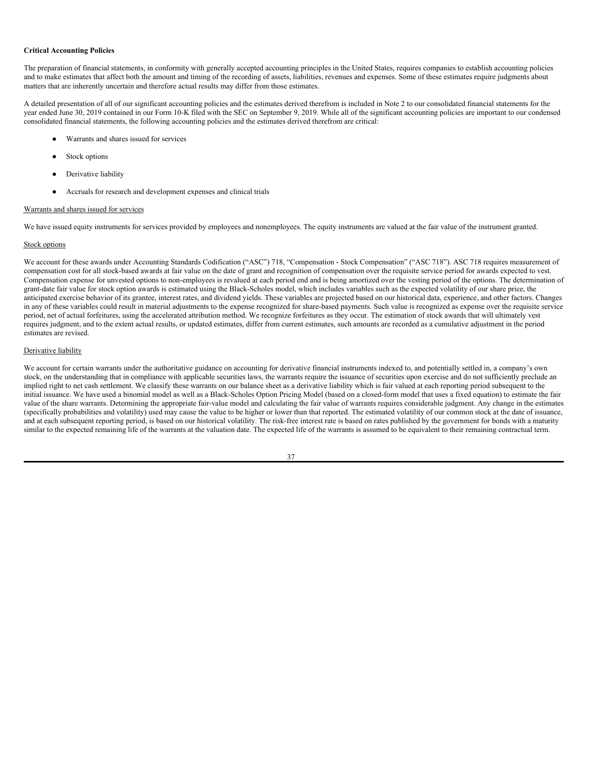#### **Critical Accounting Policies**

The preparation of financial statements, in conformity with generally accepted accounting principles in the United States, requires companies to establish accounting policies and to make estimates that affect both the amount and timing of the recording of assets, liabilities, revenues and expenses. Some of these estimates require judgments about matters that are inherently uncertain and therefore actual results may differ from those estimates.

A detailed presentation of all of our significant accounting policies and the estimates derived therefrom is included in Note 2 to our consolidated financial statements for the year ended June 30, 2019 contained in our Form 10-K filed with the SEC on September 9, 2019. While all of the significant accounting policies are important to our condensed consolidated financial statements, the following accounting policies and the estimates derived therefrom are critical:

- Warrants and shares issued for services
- Stock options
- Derivative liability
- Accruals for research and development expenses and clinical trials

## Warrants and shares issued for services

We have issued equity instruments for services provided by employees and nonemployees. The equity instruments are valued at the fair value of the instrument granted.

## Stock options

We account for these awards under Accounting Standards Codification ("ASC") 718, "Compensation - Stock Compensation" ("ASC 718"). ASC 718 requires measurement of compensation cost for all stock-based awards at fair value on the date of grant and recognition of compensation over the requisite service period for awards expected to vest. Compensation expense for unvested options to non-employees is revalued at each period end and is being amortized over the vesting period of the options. The determination of grant-date fair value for stock option awards is estimated using the Black-Scholes model, which includes variables such as the expected volatility of our share price, the anticipated exercise behavior of its grantee, interest rates, and dividend yields. These variables are projected based on our historical data, experience, and other factors. Changes in any of these variables could result in material adjustments to the expense recognized for share-based payments. Such value is recognized as expense over the requisite service period, net of actual forfeitures, using the accelerated attribution method. We recognize forfeitures as they occur. The estimation of stock awards that will ultimately vest requires judgment, and to the extent actual results, or updated estimates, differ from current estimates, such amounts are recorded as a cumulative adjustment in the period estimates are revised.

## Derivative liability

We account for certain warrants under the authoritative guidance on accounting for derivative financial instruments indexed to, and potentially settled in, a company's own stock, on the understanding that in compliance with applicable securities laws, the warrants require the issuance of securities upon exercise and do not sufficiently preclude an implied right to net cash settlement. We classify these warrants on our balance sheet as a derivative liability which is fair valued at each reporting period subsequent to the initial issuance. We have used a binomial model as well as a Black-Scholes Option Pricing Model (based on a closed-form model that uses a fixed equation) to estimate the fair value of the share warrants. Determining the appropriate fair-value model and calculating the fair value of warrants requires considerable judgment. Any change in the estimates (specifically probabilities and volatility) used may cause the value to be higher or lower than that reported. The estimated volatility of our common stock at the date of issuance, and at each subsequent reporting period, is based on our historical volatility. The risk-free interest rate is based on rates published by the government for bonds with a maturity similar to the expected remaining life of the warrants at the valuation date. The expected life of the warrants is assumed to be equivalent to their remaining contractual term.

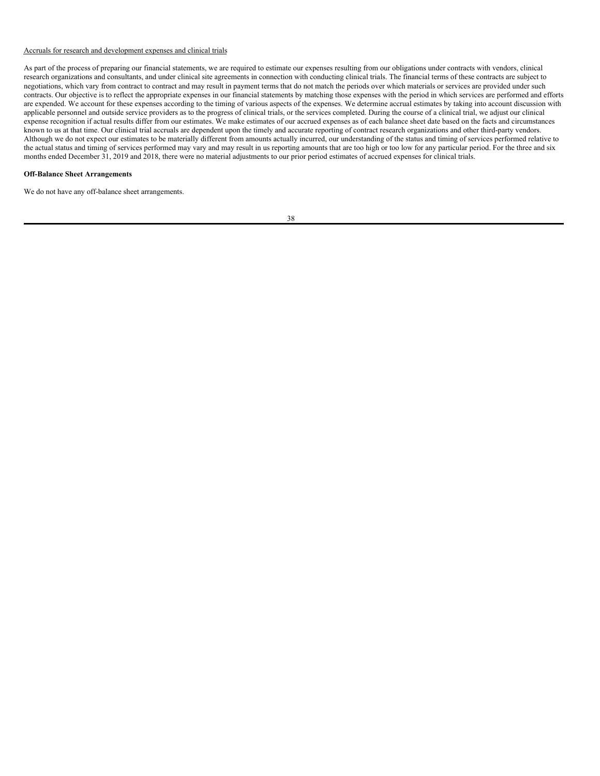## Accruals for research and development expenses and clinical trials

As part of the process of preparing our financial statements, we are required to estimate our expenses resulting from our obligations under contracts with vendors, clinical research organizations and consultants, and under clinical site agreements in connection with conducting clinical trials. The financial terms of these contracts are subject to negotiations, which vary from contract to contract and may result in payment terms that do not match the periods over which materials or services are provided under such contracts. Our objective is to reflect the appropriate expenses in our financial statements by matching those expenses with the period in which services are performed and efforts are expended. We account for these expenses according to the timing of various aspects of the expenses. We determine accrual estimates by taking into account discussion with applicable personnel and outside service providers as to the progress of clinical trials, or the services completed. During the course of a clinical trial, we adjust our clinical expense recognition if actual results differ from our estimates. We make estimates of our accrued expenses as of each balance sheet date based on the facts and circumstances known to us at that time. Our clinical trial accruals are dependent upon the timely and accurate reporting of contract research organizations and other third-party vendors. Although we do not expect our estimates to be materially different from amounts actually incurred, our understanding of the status and timing of services performed relative to the actual status and timing of services performed may vary and may result in us reporting amounts that are too high or too low for any particular period. For the three and six months ended December 31, 2019 and 2018, there were no material adjustments to our prior period estimates of accrued expenses for clinical trials.

## **Off-Balance Sheet Arrangements**

We do not have any off-balance sheet arrangements.

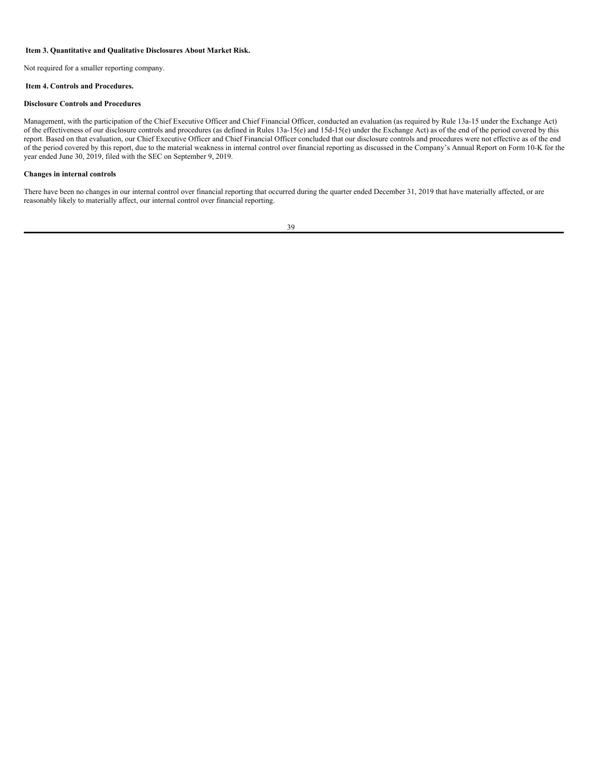## <span id="page-40-0"></span>**Item 3. Quantitative and Qualitative Disclosures About Market Risk.**

Not required for a smaller reporting company.

## <span id="page-40-1"></span>**Item 4. Controls and Procedures.**

#### **Disclosure Controls and Procedures**

Management, with the participation of the Chief Executive Officer and Chief Financial Officer, conducted an evaluation (as required by Rule 13a-15 under the Exchange Act) of the effectiveness of our disclosure controls and procedures (as defined in Rules 13a-15(e) and 15d-15(e) under the Exchange Act) as of the end of the period covered by this report. Based on that evaluation, our Chief Executive Officer and Chief Financial Officer concluded that our disclosure controls and procedures were not effective as of the end of the period covered by this report, due to the material weakness in internal control over financial reporting as discussed in the Company's Annual Report on Form 10-K for the year ended June 30, 2019, filed with the SEC on September 9, 2019.

## **Changes in internal controls**

There have been no changes in our internal control over financial reporting that occurred during the quarter ended December 31, 2019 that have materially affected, or are reasonably likely to materially affect, our internal control over financial reporting.

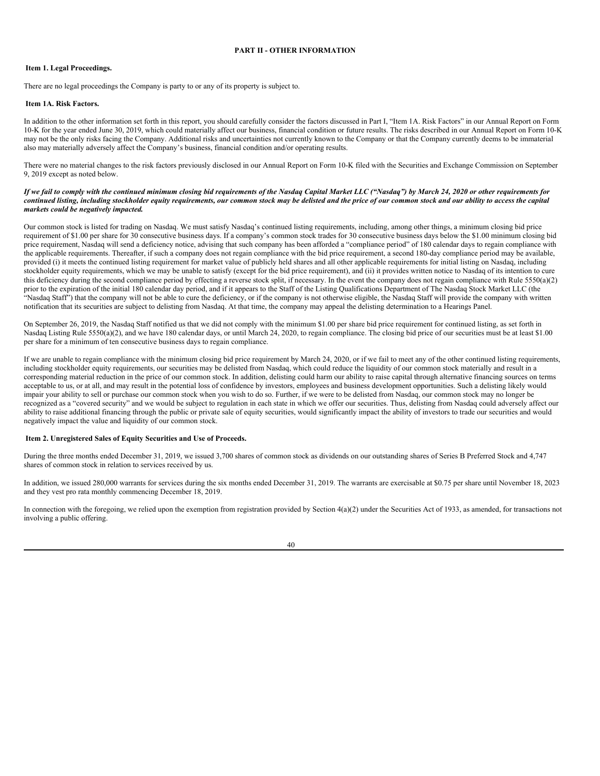## <span id="page-41-0"></span>**PART II - OTHER INFORMATION**

#### <span id="page-41-1"></span>**Item 1. Legal Proceedings.**

There are no legal proceedings the Company is party to or any of its property is subject to.

## <span id="page-41-2"></span>**Item 1A. Risk Factors.**

In addition to the other information set forth in this report, you should carefully consider the factors discussed in Part I, "Item 1A. Risk Factors" in our Annual Report on Form 10-K for the year ended June 30, 2019, which could materially affect our business, financial condition or future results. The risks described in our Annual Report on Form 10-K may not be the only risks facing the Company. Additional risks and uncertainties not currently known to the Company or that the Company currently deems to be immaterial also may materially adversely affect the Company's business, financial condition and/or operating results.

There were no material changes to the risk factors previously disclosed in our Annual Report on Form 10-K filed with the Securities and Exchange Commission on September 9, 2019 except as noted below.

## If we fail to comply with the continued minimum closing bid requirements of the Nasdaq Capital Market LLC ("Nasdaq") by March 24, 2020 or other requirements for continued listing, including stockholder equity requirements, our common stock may be delisted and the price of our common stock and our ability to access the capital *markets could be negatively impacted.*

Our common stock is listed for trading on Nasdaq. We must satisfy Nasdaq's continued listing requirements, including, among other things, a minimum closing bid price requirement of \$1.00 per share for 30 consecutive business days. If a company's common stock trades for 30 consecutive business days below the \$1.00 minimum closing bid price requirement, Nasdaq will send a deficiency notice, advising that such company has been afforded a "compliance period" of 180 calendar days to regain compliance with the applicable requirements. Thereafter, if such a company does not regain compliance with the bid price requirement, a second 180-day compliance period may be available, provided (i) it meets the continued listing requirement for market value of publicly held shares and all other applicable requirements for initial listing on Nasdaq, including stockholder equity requirements, which we may be unable to satisfy (except for the bid price requirement), and (ii) it provides written notice to Nasdaq of its intention to cure this deficiency during the second compliance period by effecting a reverse stock split, if necessary. In the event the company does not regain compliance with Rule 5550(a)(2) prior to the expiration of the initial 180 calendar day period, and if it appears to the Staff of the Listing Qualifications Department of The Nasdaq Stock Market LLC (the "Nasdaq Staff") that the company will not be able to cure the deficiency, or if the company is not otherwise eligible, the Nasdaq Staff will provide the company with written notification that its securities are subject to delisting from Nasdaq. At that time, the company may appeal the delisting determination to a Hearings Panel.

On September 26, 2019, the Nasdaq Staff notified us that we did not comply with the minimum \$1.00 per share bid price requirement for continued listing, as set forth in Nasdaq Listing Rule 5550(a)(2), and we have 180 calendar days, or until March 24, 2020, to regain compliance. The closing bid price of our securities must be at least \$1.00 per share for a minimum of ten consecutive business days to regain compliance.

If we are unable to regain compliance with the minimum closing bid price requirement by March 24, 2020, or if we fail to meet any of the other continued listing requirements, including stockholder equity requirements, our securities may be delisted from Nasdaq, which could reduce the liquidity of our common stock materially and result in a corresponding material reduction in the price of our common stock. In addition, delisting could harm our ability to raise capital through alternative financing sources on terms acceptable to us, or at all, and may result in the potential loss of confidence by investors, employees and business development opportunities. Such a delisting likely would impair your ability to sell or purchase our common stock when you wish to do so. Further, if we were to be delisted from Nasdaq, our common stock may no longer be recognized as a "covered security" and we would be subject to regulation in each state in which we offer our securities. Thus, delisting from Nasdaq could adversely affect our ability to raise additional financing through the public or private sale of equity securities, would significantly impact the ability of investors to trade our securities and would negatively impact the value and liquidity of our common stock.

#### <span id="page-41-3"></span>**Item 2. Unregistered Sales of Equity Securities and Use of Proceeds.**

During the three months ended December 31, 2019, we issued 3,700 shares of common stock as dividends on our outstanding shares of Series B Preferred Stock and 4,747 shares of common stock in relation to services received by us.

In addition, we issued 280,000 warrants for services during the six months ended December 31, 2019. The warrants are exercisable at \$0.75 per share until November 18, 2023 and they vest pro rata monthly commencing December 18, 2019.

In connection with the foregoing, we relied upon the exemption from registration provided by Section 4(a)(2) under the Securities Act of 1933, as amended, for transactions not involving a public offering.

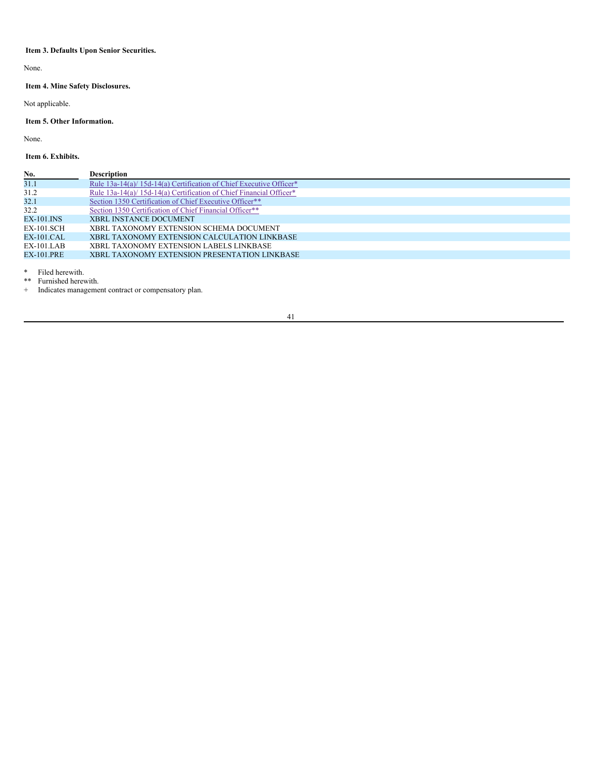# <span id="page-42-0"></span>**Item 3. Defaults Upon Senior Securities.**

None.

# <span id="page-42-1"></span>**Item 4. Mine Safety Disclosures.**

Not applicable.

# <span id="page-42-2"></span>**Item 5. Other Information.**

None.

<span id="page-42-3"></span>**Item 6. Exhibits.**

| No.               | <b>Description</b>                                                  |
|-------------------|---------------------------------------------------------------------|
| 31.1              | Rule 13a-14(a)/ 15d-14(a) Certification of Chief Executive Officer* |
| 31.2              | Rule 13a-14(a)/ 15d-14(a) Certification of Chief Financial Officer* |
| 32.1              | Section 1350 Certification of Chief Executive Officer**             |
| 32.2              | Section 1350 Certification of Chief Financial Officer**             |
| EX-101.INS        | <b>XBRL INSTANCE DOCUMENT</b>                                       |
| <b>EX-101.SCH</b> | XBRL TAXONOMY EXTENSION SCHEMA DOCUMENT                             |
| EX-101.CAL        | XBRL TAXONOMY EXTENSION CALCULATION LINKBASE                        |
| $EX-101.LAB$      | XBRL TAXONOMY EXTENSION LABELS LINKBASE                             |
| <b>EX-101.PRE</b> | XBRL TAXONOMY EXTENSION PRESENTATION LINKBASE                       |
|                   |                                                                     |

\* Filed herewith.

\*\* Furnished herewith.

+ Indicates management contract or compensatory plan.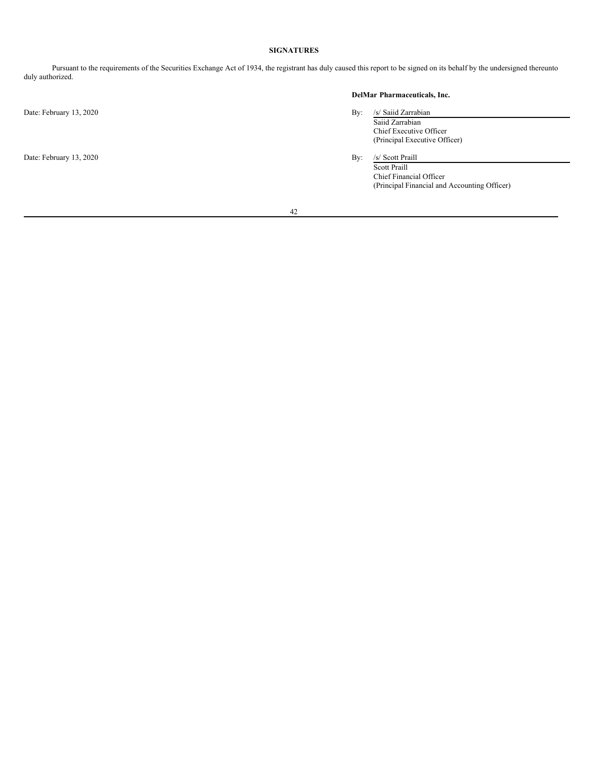# **SIGNATURES**

Pursuant to the requirements of the Securities Exchange Act of 1934, the registrant has duly caused this report to be signed on its behalf by the undersigned thereunto duly authorized.

Date: February 13, 2020 By: /s/ Saiid Zarrabian

Date: February 13, 2020 By: /s/ Scott Praill

# **DelMar Pharmaceuticals, Inc.**

- Saiid Zarrabian Chief Executive Officer (Principal Executive Officer)
- Scott Praill Chief Financial Officer

(Principal Financial and Accounting Officer)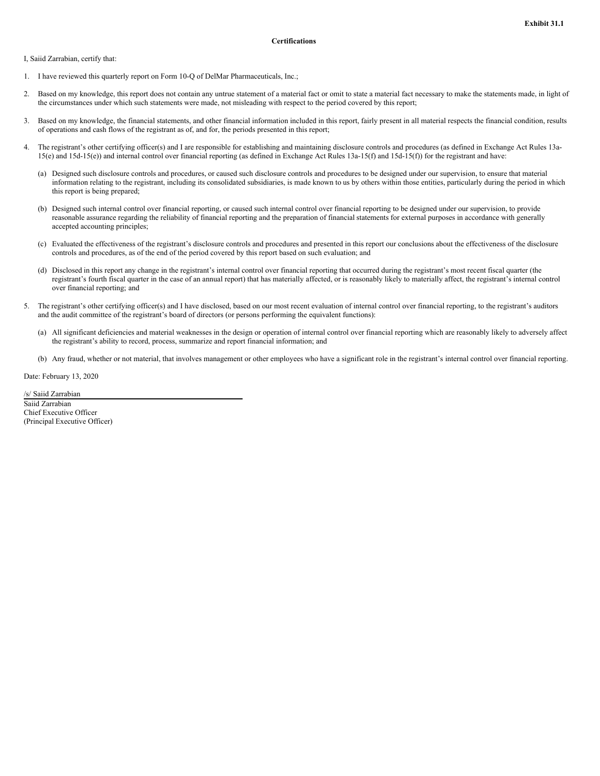<span id="page-44-0"></span>I, Saiid Zarrabian, certify that:

- 1. I have reviewed this quarterly report on Form 10-Q of DelMar Pharmaceuticals, Inc.;
- 2. Based on my knowledge, this report does not contain any untrue statement of a material fact or omit to state a material fact necessary to make the statements made, in light of the circumstances under which such statements were made, not misleading with respect to the period covered by this report;
- 3. Based on my knowledge, the financial statements, and other financial information included in this report, fairly present in all material respects the financial condition, results of operations and cash flows of the registrant as of, and for, the periods presented in this report;
- The registrant's other certifying officer(s) and I are responsible for establishing and maintaining disclosure controls and procedures (as defined in Exchange Act Rules 13a-15(e) and 15d-15(e)) and internal control over financial reporting (as defined in Exchange Act Rules 13a-15(f) and 15d-15(f)) for the registrant and have:
	- (a) Designed such disclosure controls and procedures, or caused such disclosure controls and procedures to be designed under our supervision, to ensure that material information relating to the registrant, including its consolidated subsidiaries, is made known to us by others within those entities, particularly during the period in which this report is being prepared;
	- (b) Designed such internal control over financial reporting, or caused such internal control over financial reporting to be designed under our supervision, to provide reasonable assurance regarding the reliability of financial reporting and the preparation of financial statements for external purposes in accordance with generally accepted accounting principles;
	- (c) Evaluated the effectiveness of the registrant's disclosure controls and procedures and presented in this report our conclusions about the effectiveness of the disclosure controls and procedures, as of the end of the period covered by this report based on such evaluation; and
	- (d) Disclosed in this report any change in the registrant's internal control over financial reporting that occurred during the registrant's most recent fiscal quarter (the registrant's fourth fiscal quarter in the case of an annual report) that has materially affected, or is reasonably likely to materially affect, the registrant's internal control over financial reporting; and
- 5. The registrant's other certifying officer(s) and I have disclosed, based on our most recent evaluation of internal control over financial reporting, to the registrant's auditors and the audit committee of the registrant's board of directors (or persons performing the equivalent functions):
	- (a) All significant deficiencies and material weaknesses in the design or operation of internal control over financial reporting which are reasonably likely to adversely affect the registrant's ability to record, process, summarize and report financial information; and
	- (b) Any fraud, whether or not material, that involves management or other employees who have a significant role in the registrant's internal control over financial reporting.

Date: February 13, 2020

/s/ Saiid Zarrabian

Saiid Zarrabian Chief Executive Officer (Principal Executive Officer)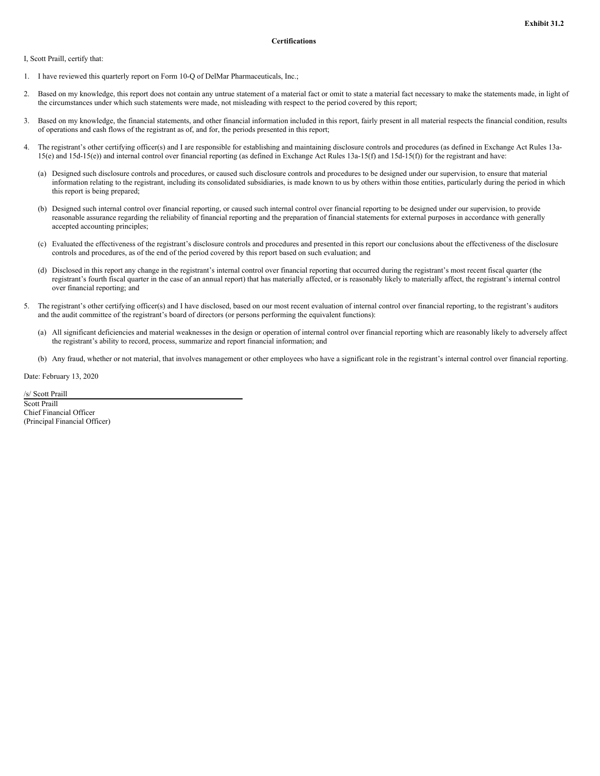<span id="page-45-0"></span>I, Scott Praill, certify that:

- 1. I have reviewed this quarterly report on Form 10-Q of DelMar Pharmaceuticals, Inc.;
- 2. Based on my knowledge, this report does not contain any untrue statement of a material fact or omit to state a material fact necessary to make the statements made, in light of the circumstances under which such statements were made, not misleading with respect to the period covered by this report;
- 3. Based on my knowledge, the financial statements, and other financial information included in this report, fairly present in all material respects the financial condition, results of operations and cash flows of the registrant as of, and for, the periods presented in this report;
- The registrant's other certifying officer(s) and I are responsible for establishing and maintaining disclosure controls and procedures (as defined in Exchange Act Rules 13a-15(e) and 15d-15(e)) and internal control over financial reporting (as defined in Exchange Act Rules 13a-15(f) and 15d-15(f)) for the registrant and have:
	- (a) Designed such disclosure controls and procedures, or caused such disclosure controls and procedures to be designed under our supervision, to ensure that material information relating to the registrant, including its consolidated subsidiaries, is made known to us by others within those entities, particularly during the period in which this report is being prepared;
	- (b) Designed such internal control over financial reporting, or caused such internal control over financial reporting to be designed under our supervision, to provide reasonable assurance regarding the reliability of financial reporting and the preparation of financial statements for external purposes in accordance with generally accepted accounting principles;
	- (c) Evaluated the effectiveness of the registrant's disclosure controls and procedures and presented in this report our conclusions about the effectiveness of the disclosure controls and procedures, as of the end of the period covered by this report based on such evaluation; and
	- (d) Disclosed in this report any change in the registrant's internal control over financial reporting that occurred during the registrant's most recent fiscal quarter (the registrant's fourth fiscal quarter in the case of an annual report) that has materially affected, or is reasonably likely to materially affect, the registrant's internal control over financial reporting; and
- 5. The registrant's other certifying officer(s) and I have disclosed, based on our most recent evaluation of internal control over financial reporting, to the registrant's auditors and the audit committee of the registrant's board of directors (or persons performing the equivalent functions):
	- (a) All significant deficiencies and material weaknesses in the design or operation of internal control over financial reporting which are reasonably likely to adversely affect the registrant's ability to record, process, summarize and report financial information; and
	- (b) Any fraud, whether or not material, that involves management or other employees who have a significant role in the registrant's internal control over financial reporting.

Date: February 13, 2020

/s/ Scott Praill

Scott Praill Chief Financial Officer (Principal Financial Officer)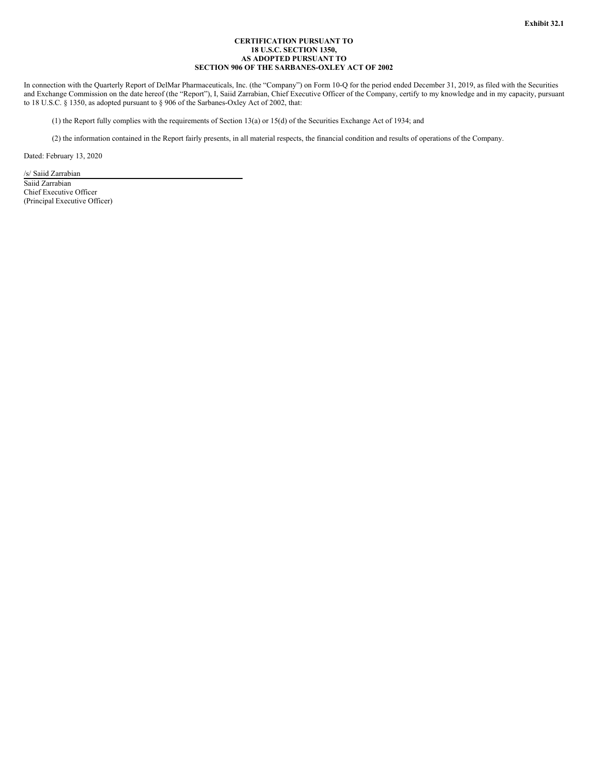## **CERTIFICATION PURSUANT TO 18 U.S.C. SECTION 1350, AS ADOPTED PURSUANT TO SECTION 906 OF THE SARBANES-OXLEY ACT OF 2002**

<span id="page-46-0"></span>In connection with the Quarterly Report of DelMar Pharmaceuticals, Inc. (the "Company") on Form 10-Q for the period ended December 31, 2019, as filed with the Securities and Exchange Commission on the date hereof (the "Report"), I, Saiid Zarrabian, Chief Executive Officer of the Company, certify to my knowledge and in my capacity, pursuant to 18 U.S.C. § 1350, as adopted pursuant to § 906 of the Sarbanes-Oxley Act of 2002, that:

(1) the Report fully complies with the requirements of Section 13(a) or 15(d) of the Securities Exchange Act of 1934; and

(2) the information contained in the Report fairly presents, in all material respects, the financial condition and results of operations of the Company.

Dated: February 13, 2020

/s/ Saiid Zarrabian Saiid Zarrabian Chief Executive Officer (Principal Executive Officer)